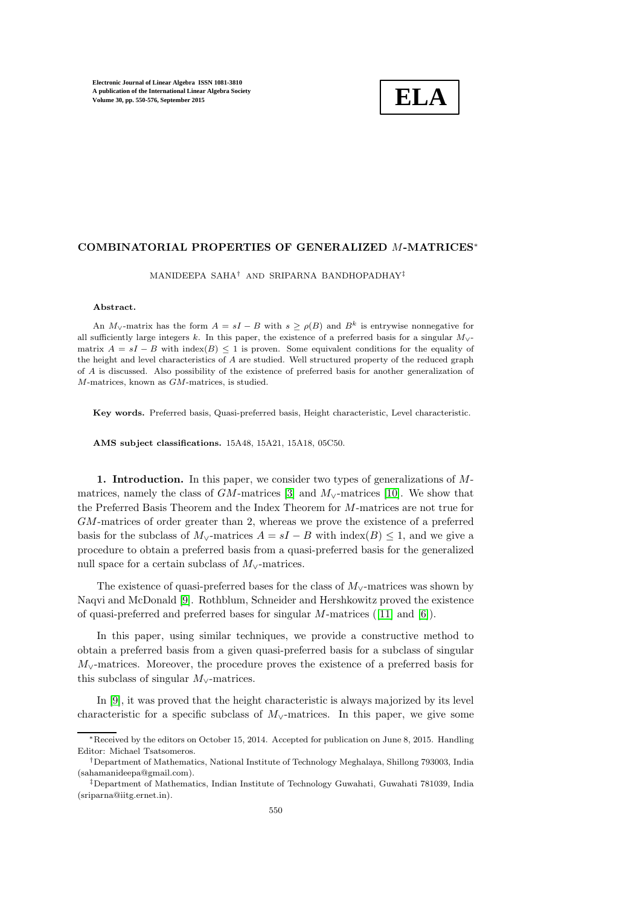

## COMBINATORIAL PROPERTIES OF GENERALIZED M-MATRICES<sup>∗</sup>

MANIDEEPA SAHA† AND SRIPARNA BANDHOPADHAY‡

#### Abstract.

An  $M_{\vee}$ -matrix has the form  $A = sI - B$  with  $s > \rho(B)$  and  $B^k$  is entrywise nonnegative for all sufficiently large integers k. In this paper, the existence of a preferred basis for a singular  $M_{\vee}$ matrix  $A = sI - B$  with index(B)  $\leq 1$  is proven. Some equivalent conditions for the equality of the height and level characteristics of A are studied. Well structured property of the reduced graph of A is discussed. Also possibility of the existence of preferred basis for another generalization of M-matrices, known as GM-matrices, is studied.

Key words. Preferred basis, Quasi-preferred basis, Height characteristic, Level characteristic.

AMS subject classifications. 15A48, 15A21, 15A18, 05C50.

1. Introduction. In this paper, we consider two types of generalizations of Mmatrices, namely the class of  $GM$ -matrices [\[3\]](#page-26-0) and  $M_v$ -matrices [\[10\]](#page-26-1). We show that the Preferred Basis Theorem and the Index Theorem for M-matrices are not true for GM-matrices of order greater than 2, whereas we prove the existence of a preferred basis for the subclass of  $M_{\vee}$ -matrices  $A = sI - B$  with index(B)  $\leq 1$ , and we give a procedure to obtain a preferred basis from a quasi-preferred basis for the generalized null space for a certain subclass of  $M_{\vee}$ -matrices.

The existence of quasi-preferred bases for the class of  $M_{\vee}$ -matrices was shown by Naqvi and McDonald [\[9\]](#page-26-2). Rothblum, Schneider and Hershkowitz proved the existence of quasi-preferred and preferred bases for singular M-matrices([\[11\]](#page-26-3) and [\[6\]](#page-26-4)).

In this paper, using similar techniques, we provide a constructive method to obtain a preferred basis from a given quasi-preferred basis for a subclass of singular M∨-matrices. Moreover, the procedure proves the existence of a preferred basis for this subclass of singular  $M_{\vee}$ -matrices.

In [\[9\]](#page-26-2), it was proved that the height characteristic is always majorized by its level characteristic for a specific subclass of  $M<sub>V</sub>$ -matrices. In this paper, we give some

<sup>∗</sup>Received by the editors on October 15, 2014. Accepted for publication on June 8, 2015. Handling Editor: Michael Tsatsomeros.

<sup>†</sup>Department of Mathematics, National Institute of Technology Meghalaya, Shillong 793003, India (sahamanideepa@gmail.com).

<sup>‡</sup>Department of Mathematics, Indian Institute of Technology Guwahati, Guwahati 781039, India (sriparna@iitg.ernet.in).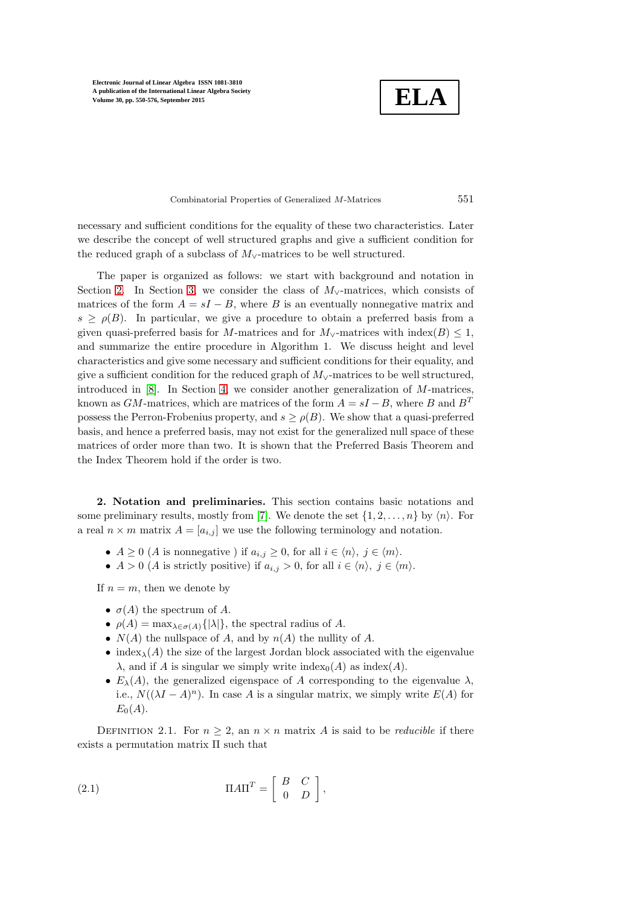**ELA**

Combinatorial Properties of Generalized M-Matrices 551

necessary and sufficient conditions for the equality of these two characteristics. Later we describe the concept of well structured graphs and give a sufficient condition for the reduced graph of a subclass of  $M_{\vee}$ -matrices to be well structured.

The paper is organized as follows: we start with background and notation in Section [2.](#page-1-0) In Section [3,](#page-4-0) we consider the class of  $M_{\vee}$ -matrices, which consists of matrices of the form  $A = sI - B$ , where B is an eventually nonnegative matrix and  $s \geq \rho(B)$ . In particular, we give a procedure to obtain a preferred basis from a given quasi-preferred basis for M-matrices and for  $M_{\vee}$ -matrices with index(B)  $\leq 1$ , and summarize the entire procedure in Algorithm 1. We discuss height and level characteristics and give some necessary and sufficient conditions for their equality, and give a sufficient condition for the reduced graph of  $M_{\vee}$ -matrices to be well structured, introduced in [\[8\]](#page-26-5). In Section [4,](#page-20-0) we consider another generalization of M-matrices, known as  $GM$ -matrices, which are matrices of the form  $A = sI - B$ , where B and  $B<sup>T</sup>$ possess the Perron-Frobenius property, and  $s \geq \rho(B)$ . We show that a quasi-preferred basis, and hence a preferred basis, may not exist for the generalized null space of these matrices of order more than two. It is shown that the Preferred Basis Theorem and the Index Theorem hold if the order is two.

<span id="page-1-0"></span>2. Notation and preliminaries. This section contains basic notations and some preliminary results, mostly from [\[7\]](#page-26-6). We denote the set  $\{1, 2, \ldots, n\}$  by  $\langle n \rangle$ . For a real  $n \times m$  matrix  $A = [a_{i,j}]$  we use the following terminology and notation.

- $A \geq 0$  (A is nonnegative ) if  $a_{i,j} \geq 0$ , for all  $i \in \langle n \rangle$ ,  $j \in \langle m \rangle$ .
- $A > 0$  (A is strictly positive) if  $a_{i,j} > 0$ , for all  $i \in \langle n \rangle$ ,  $j \in \langle m \rangle$ .

If  $n = m$ , then we denote by

- $\sigma(A)$  the spectrum of A.
- $\rho(A) = \max_{\lambda \in \sigma(A)} \{ |\lambda| \},\$  the spectral radius of A.
- $N(A)$  the nullspace of A, and by  $n(A)$  the nullity of A.
- index<sub> $\lambda$ </sub>(A) the size of the largest Jordan block associated with the eigenvalue  $\lambda$ , and if A is singular we simply write index<sub>0</sub>(A) as index(A).
- <span id="page-1-1"></span>•  $E_{\lambda}(A)$ , the generalized eigenspace of A corresponding to the eigenvalue  $\lambda$ , i.e.,  $N((\lambda I - A)^n)$ . In case A is a singular matrix, we simply write  $E(A)$  for  $E_0(A)$ .

DEFINITION 2.1. For  $n \geq 2$ , an  $n \times n$  matrix A is said to be *reducible* if there exists a permutation matrix Π such that

(2.1) 
$$
\Pi A \Pi^T = \begin{bmatrix} B & C \\ 0 & D \end{bmatrix},
$$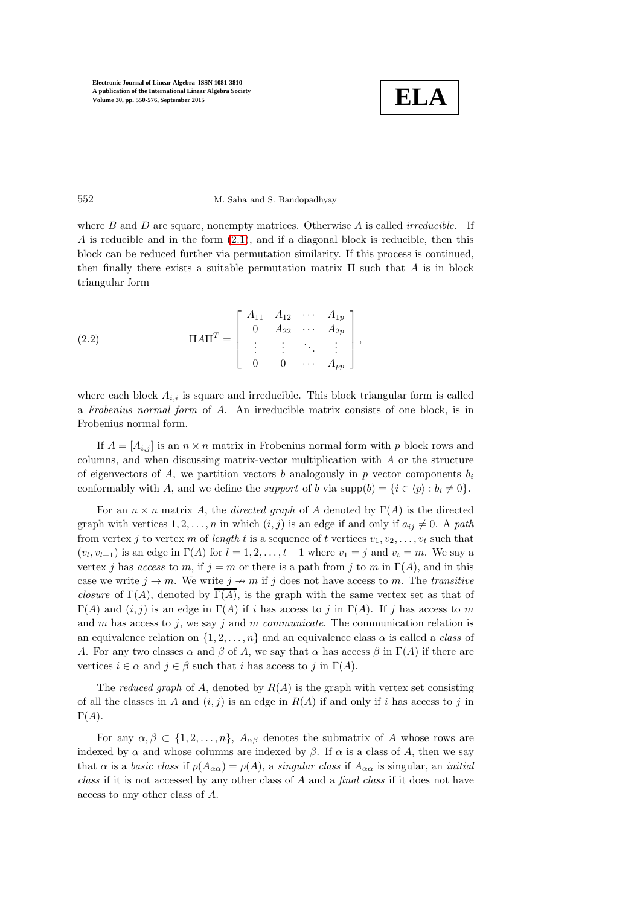

#### 552 M. Saha and S. Bandopadhyay

where B and D are square, nonempty matrices. Otherwise A is called *irreducible*. If A is reducible and in the form [\(2.1\)](#page-1-1), and if a diagonal block is reducible, then this block can be reduced further via permutation similarity. If this process is continued, then finally there exists a suitable permutation matrix  $\Pi$  such that A is in block triangular form

<span id="page-2-0"></span>(2.2) 
$$
\Pi A \Pi^T = \begin{bmatrix} A_{11} & A_{12} & \cdots & A_{1p} \\ 0 & A_{22} & \cdots & A_{2p} \\ \vdots & \vdots & \ddots & \vdots \\ 0 & 0 & \cdots & A_{pp} \end{bmatrix},
$$

where each block  $A_{i,i}$  is square and irreducible. This block triangular form is called a *Frobenius normal form* of A. An irreducible matrix consists of one block, is in Frobenius normal form.

If  $A = [A_{i,j}]$  is an  $n \times n$  matrix in Frobenius normal form with p block rows and columns, and when discussing matrix-vector multiplication with A or the structure of eigenvectors of A, we partition vectors b analogously in p vector components  $b_i$ conformably with A, and we define the *support* of b via supp $(b) = \{i \in \langle p \rangle : b_i \neq 0\}.$ 

For an  $n \times n$  matrix A, the *directed graph* of A denoted by  $\Gamma(A)$  is the directed graph with vertices  $1, 2, \ldots, n$  in which  $(i, j)$  is an edge if and only if  $a_{ij} \neq 0$ . A *path* from vertex j to vertex m of *length* t is a sequence of t vertices  $v_1, v_2, \ldots, v_t$  such that  $(v_l, v_{l+1})$  is an edge in  $\Gamma(A)$  for  $l = 1, 2, \ldots, t-1$  where  $v_1 = j$  and  $v_t = m$ . We say a vertex j has *access* to m, if  $j = m$  or there is a path from j to m in  $\Gamma(A)$ , and in this case we write  $j \to m$ . We write  $j \to m$  if j does not have access to m. The *transitive closure* of  $\Gamma(A)$ , denoted by  $\overline{\Gamma(A)}$ , is the graph with the same vertex set as that of  $\Gamma(A)$  and  $(i, j)$  is an edge in  $\overline{\Gamma(A)}$  if i has access to j in  $\Gamma(A)$ . If j has access to m and m has access to j, we say j and m *communicate*. The communication relation is an equivalence relation on  $\{1, 2, \ldots, n\}$  and an equivalence class  $\alpha$  is called a *class* of A. For any two classes  $\alpha$  and  $\beta$  of A, we say that  $\alpha$  has access  $\beta$  in  $\Gamma(A)$  if there are vertices  $i \in \alpha$  and  $j \in \beta$  such that i has access to j in  $\Gamma(A)$ .

The *reduced graph* of A, denoted by  $R(A)$  is the graph with vertex set consisting of all the classes in A and  $(i, j)$  is an edge in  $R(A)$  if and only if i has access to j in  $\Gamma(A)$ .

For any  $\alpha, \beta \in \{1, 2, ..., n\}, A_{\alpha\beta}$  denotes the submatrix of A whose rows are indexed by  $\alpha$  and whose columns are indexed by  $\beta$ . If  $\alpha$  is a class of A, then we say that  $\alpha$  is a *basic class* if  $\rho(A_{\alpha\alpha}) = \rho(A)$ , a *singular class* if  $A_{\alpha\alpha}$  is singular, an *initial class* if it is not accessed by any other class of A and a *final class* if it does not have access to any other class of A.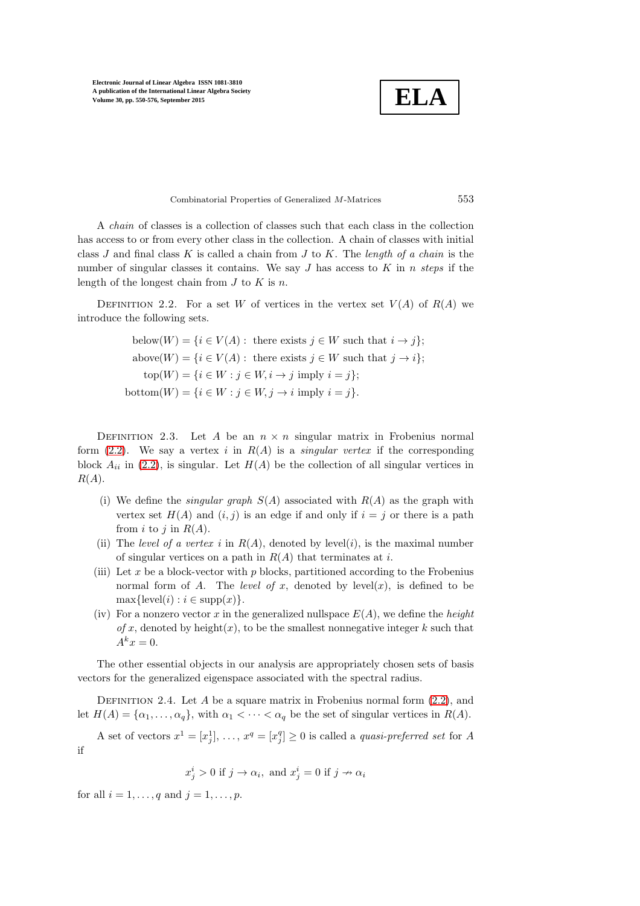**ELA**

Combinatorial Properties of Generalized M-Matrices 553

A *chain* of classes is a collection of classes such that each class in the collection has access to or from every other class in the collection. A chain of classes with initial class J and final class K is called a chain from J to K. The *length of a chain* is the number of singular classes it contains. We say J has access to K in n *steps* if the length of the longest chain from  $J$  to  $K$  is  $n$ .

DEFINITION 2.2. For a set W of vertices in the vertex set  $V(A)$  of  $R(A)$  we introduce the following sets.

below
$$
(\mathbf{W}) = \{i \in V(A) : \text{ there exists } j \in W \text{ such that } i \to j\};
$$
\n
$$
\text{above}(W) = \{i \in V(A) : \text{ there exists } j \in W \text{ such that } j \to i\};
$$
\n
$$
\text{top}(W) = \{i \in W : j \in W, i \to j \text{ imply } i = j\};
$$
\n
$$
\text{bottom}(W) = \{i \in W : j \in W, j \to i \text{ imply } i = j\}.
$$

DEFINITION 2.3. Let A be an  $n \times n$  singular matrix in Frobenius normal form  $(2.2)$ . We say a vertex i in  $R(A)$  is a *singular vertex* if the corresponding block  $A_{ii}$  in [\(2.2\)](#page-2-0), is singular. Let  $H(A)$  be the collection of all singular vertices in  $R(A)$ .

- (i) We define the *singular graph* S(A) associated with R(A) as the graph with vertex set  $H(A)$  and  $(i, j)$  is an edge if and only if  $i = j$  or there is a path from i to j in  $R(A)$ .
- (ii) The *level of a vertex* i in  $R(A)$ , denoted by level(i), is the maximal number of singular vertices on a path in  $R(A)$  that terminates at i.
- (iii) Let x be a block-vector with  $p$  blocks, partitioned according to the Frobenius normal form of A. The *level of* x, denoted by  $level(x)$ , is defined to be  $\max{\lbrace level(i) : i \in \text{supp}(x) \rbrace}.$
- (iv) For a nonzero vector x in the generalized nullspace  $E(A)$ , we define the *height*  $of x$ , denoted by height $(x)$ , to be the smallest nonnegative integer k such that  $A^k x = 0.$

The other essential objects in our analysis are appropriately chosen sets of basis vectors for the generalized eigenspace associated with the spectral radius.

DEFINITION 2.4. Let A be a square matrix in Frobenius normal form  $(2.2)$ , and let  $H(A) = {\alpha_1, \ldots, \alpha_q}$ , with  $\alpha_1 < \cdots < \alpha_q$  be the set of singular vertices in  $R(A)$ .

A set of vectors  $x^1 = [x_j^1], \ldots, x^q = [x_j^q] \ge 0$  is called a *quasi-preferred set* for A if

$$
x_j^i > 0
$$
 if  $j \to \alpha_i$ , and  $x_j^i = 0$  if  $j \to \alpha_i$ 

for all  $i = 1, \ldots, q$  and  $j = 1, \ldots, p$ .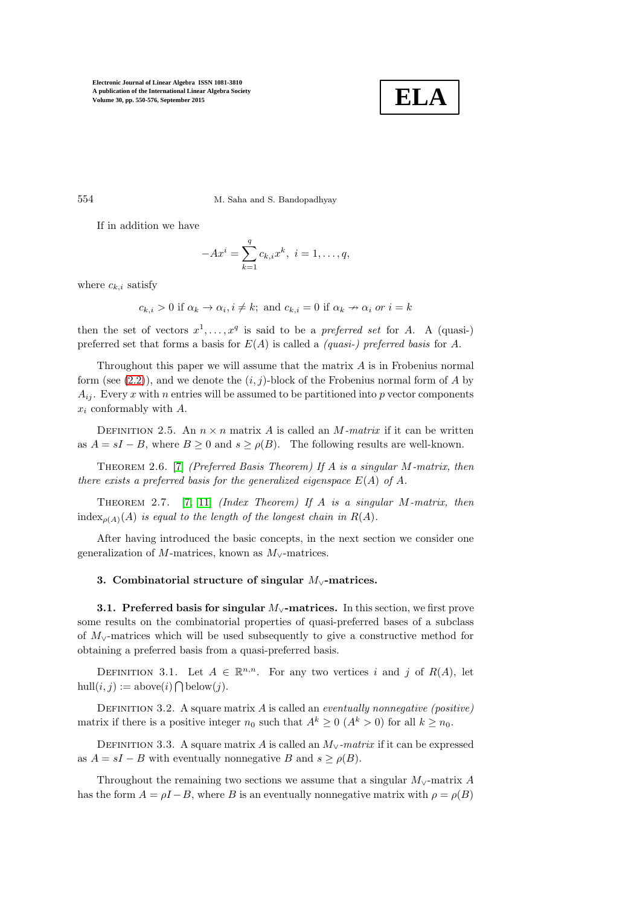

554 M. Saha and S. Bandopadhyay

If in addition we have

<span id="page-4-1"></span>
$$
-Ax^{i} = \sum_{k=1}^{q} c_{k,i}x^{k}, i = 1, ..., q,
$$

where  $c_{k,i}$  satisfy

$$
c_{k,i} > 0
$$
 if  $\alpha_k \to \alpha_i$ ,  $i \neq k$ ; and  $c_{k,i} = 0$  if  $\alpha_k \to \alpha_i$  or  $i = k$ 

then the set of vectors  $x^1, \ldots, x^q$  is said to be a *preferred set* for A. A (quasi-) preferred set that forms a basis for E(A) is called a *(quasi-) preferred basis* for A.

Throughout this paper we will assume that the matrix  $A$  is in Frobenius normal form (see  $(2.2)$ ), and we denote the  $(i, j)$ -block of the Frobenius normal form of A by  $A_{ij}$ . Every x with n entries will be assumed to be partitioned into p vector components  $x_i$  conformably with  $A$ .

DEFINITION 2.5. An  $n \times n$  matrix A is called an M-matrix if it can be written as  $A = sI - B$ , where  $B \ge 0$  and  $s \ge \rho(B)$ . The following results are well-known.

Theorem 2.6. [\[7\]](#page-26-6) *(Preferred Basis Theorem) If* A *is a singular* M*-matrix, then there exists a preferred basis for the generalized eigenspace*  $E(A)$  *of* A.

Theorem 2.7. [\[7,](#page-26-6) [11\]](#page-26-3) *(Index Theorem) If* A *is a singular* M*-matrix, then* index<sub> $o(A)$ </sub> $(A)$  *is equal to the length of the longest chain in*  $R(A)$ *.* 

<span id="page-4-0"></span>After having introduced the basic concepts, in the next section we consider one generalization of M-matrices, known as  $M_{\vee}$ -matrices.

# 3. Combinatorial structure of singular M∨-matrices.

3.1. Preferred basis for singular  $M_{\vee}$ -matrices. In this section, we first prove some results on the combinatorial properties of quasi-preferred bases of a subclass of M∨-matrices which will be used subsequently to give a constructive method for obtaining a preferred basis from a quasi-preferred basis.

DEFINITION 3.1. Let  $A \in \mathbb{R}^{n,n}$ . For any two vertices i and j of  $R(A)$ , let  $hull(i, j) := above(i) \bigcap below(j).$ 

DEFINITION 3.2. A square matrix A is called an *eventually nonnegative (positive)* matrix if there is a positive integer  $n_0$  such that  $A^k \geq 0$   $(A^k > 0)$  for all  $k \geq n_0$ .

DEFINITION 3.3. A square matrix A is called an  $M_{\vee}$ -matrix if it can be expressed as  $A = sI - B$  with eventually nonnegative B and  $s \ge \rho(B)$ .

Throughout the remaining two sections we assume that a singular  $M_{\vee}$ -matrix A has the form  $A = \rho I - B$ , where B is an eventually nonnegative matrix with  $\rho = \rho(B)$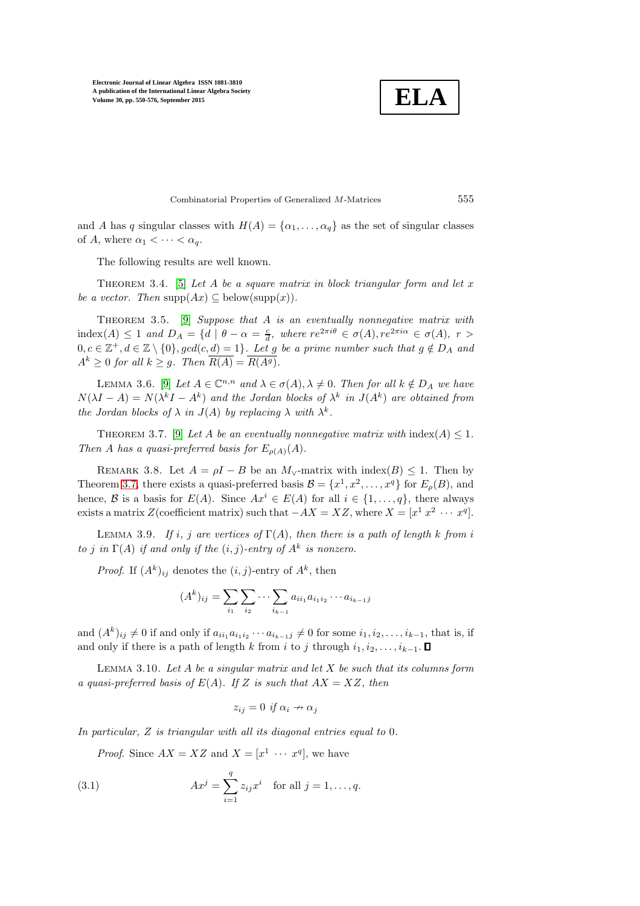$$
\boxed{\textbf{ELA}}
$$

<span id="page-5-6"></span><span id="page-5-3"></span>Combinatorial Properties of Generalized M-Matrices 555

and A has q singular classes with  $H(A) = {\alpha_1, \ldots, \alpha_q}$  as the set of singular classes of A, where  $\alpha_1 < \cdots < \alpha_q$ .

The following results are well known.

Theorem 3.4. [\[5\]](#page-26-7) *Let* A *be a square matrix in block triangular form and let* x *be a vector. Then*  $\text{supp}(Ax) \subseteq \text{below}(\text{supp}(x)).$ 

Theorem 3.5. [\[9\]](#page-26-2) *Suppose that* A *is an eventually nonnegative matrix with* index(A)  $\leq 1$  and  $D_A = \{d \mid \theta - \alpha = \frac{c}{d}, \text{ where } re^{2\pi i \theta} \in \sigma(A), re^{2\pi i \alpha} \in \sigma(A), r >$  $0, c \in \mathbb{Z}^+, d \in \mathbb{Z} \setminus \{0\}, gcd(c, d) = 1\}$ . Let g be a prime number such that  $g \notin D_A$  and  $A^k \geq 0$  *for all*  $k \geq q$ *. Then*  $\overline{R(A)} = \overline{R(A^g)}$ *.* 

LEMMA 3.6. [\[9\]](#page-26-2) *Let*  $A \in \mathbb{C}^{n,n}$  and  $\lambda \in \sigma(A), \lambda \neq 0$ . *Then for all*  $k \notin D_A$  *we have*  $N(\lambda I - A) = N(\lambda^k I - A^k)$  and the Jordan blocks of  $\lambda^k$  in  $J(A^k)$  are obtained from *the Jordan blocks of*  $\lambda$  *in*  $J(A)$  *by replacing*  $\lambda$  *with*  $\lambda^k$ *.* 

THEOREM 3.7. [\[9\]](#page-26-2) Let A be an eventually nonnegative matrix with  $\text{index}(A) \leq 1$ . *Then* A has a quasi-preferred basis for  $E_{\rho(A)}(A)$ .

REMARK 3.8. Let  $A = \rho I - B$  be an  $M_{\vee}$ -matrix with index(B) < 1. Then by Theorem [3.7,](#page-5-0) there exists a quasi-preferred basis  $\mathcal{B} = \{x^1, x^2, \ldots, x^q\}$  for  $E_\rho(B)$ , and hence, B is a basis for  $E(A)$ . Since  $Ax^{i} \in E(A)$  for all  $i \in \{1, ..., q\}$ , there always exists a matrix Z(coefficient matrix) such that  $-AX = XZ$ , where  $X = [x^1 x^2 \cdots x^q]$ .

<span id="page-5-4"></span>LEMMA 3.9. *If i*, *j* are vertices of  $\Gamma(A)$ *, then there is a path of length* k *from i to j* in  $\Gamma(A)$  *if and only if the*  $(i, j)$ *-entry of*  $A^k$  *is nonzero.* 

*Proof.* If  $(A^k)_{ij}$  denotes the  $(i, j)$ -entry of  $A^k$ , then

<span id="page-5-5"></span><span id="page-5-0"></span>
$$
(A^{k})_{ij} = \sum_{i_1} \sum_{i_2} \cdots \sum_{i_{k-1}} a_{ii_1} a_{i_1 i_2} \cdots a_{i_{k-1} j}
$$

and  $(A^k)_{ij} \neq 0$  if and only if  $a_{ii_1}a_{i_1i_2}\cdots a_{i_{k-1}j} \neq 0$  for some  $i_1, i_2, \ldots, i_{k-1}$ , that is, if and only if there is a path of length k from i to j through  $i_1, i_2, \ldots, i_{k-1}$ .  $\Box$ 

Lemma 3.10. *Let* A *be a singular matrix and let* X *be such that its columns form a quasi-preferred basis of*  $E(A)$ *. If* Z *is such that*  $AX = XZ$ *, then* 

<span id="page-5-2"></span><span id="page-5-1"></span>
$$
z_{ij} = 0 \text{ if } \alpha_i \to \alpha_j
$$

*In particular,* Z *is triangular with all its diagonal entries equal to* 0*.*

*Proof.* Since  $AX = XZ$  and  $X = [x^1 \cdots x^q]$ , we have

(3.1) 
$$
Ax^{j} = \sum_{i=1}^{q} z_{ij}x^{i} \text{ for all } j = 1, ..., q.
$$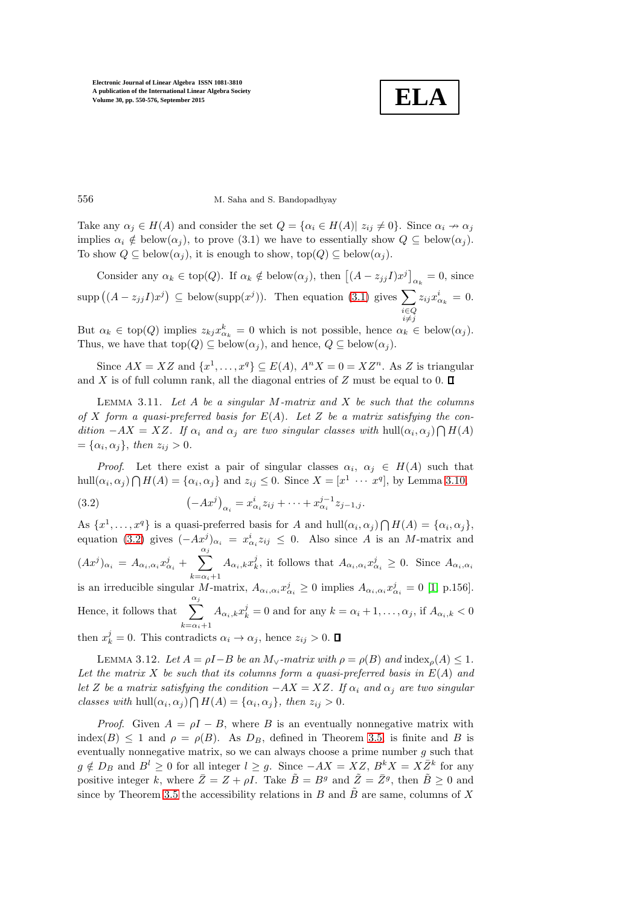<span id="page-6-1"></span>

556 M. Saha and S. Bandopadhyay

Take any  $\alpha_j \in H(A)$  and consider the set  $Q = {\alpha_i \in H(A) | z_{ij} \neq 0}.$  Since  $\alpha_i \nrightarrow \alpha_j$ implies  $\alpha_i \notin \text{below}(\alpha_j)$ , to prove (3.1) we have to essentially show  $Q \subseteq \text{below}(\alpha_j)$ . To show  $Q \subseteq \text{below}(\alpha_j)$ , it is enough to show,  $\text{top}(Q) \subseteq \text{below}(\alpha_j)$ .

Consider any  $\alpha_k \in \text{top}(Q)$ . If  $\alpha_k \notin \text{below}(\alpha_j)$ , then  $\left[ (A - z_{jj}I)x^j \right]_{\alpha_k} = 0$ , since  $\text{supp}((A-z_{jj}I)x^{j}) \subseteq \text{below}(\text{supp}(x^{j}))$ . Then equation [\(3.1\)](#page-5-1) gives  $\sum$ i∈Q<br>i≠j  $z_{ij}x_{\alpha_k}^i = 0.$ 

But  $\alpha_k \in \text{top}(Q)$  implies  $z_{kj} x_{\alpha_k}^k = 0$  which is not possible, hence  $\alpha_k \in \text{below}(\alpha_j)$ . Thus, we have that  $top(Q) \subseteq below(\alpha_j)$ , and hence,  $Q \subseteq below(\alpha_j)$ .

Since  $AX = XZ$  and  $\{x^1, \ldots, x^q\} \subseteq E(A)$ ,  $A^n X = 0 = XZ^n$ . As Z is triangular and X is of full column rank, all the diagonal entries of Z must be equal to 0.  $\Box$ 

Lemma 3.11. *Let* A *be a singular* M*-matrix and* X *be such that the columns of* X *form a quasi-preferred basis for* E(A)*. Let* Z *be a matrix satisfying the con* $dition -AX = XZ$ . If  $\alpha_i$  and  $\alpha_j$  are two singular classes with hull $(\alpha_i, \alpha_j) \bigcap H(A)$  $= {\alpha_i, \alpha_j}, \text{ then } z_{ij} > 0.$ 

<span id="page-6-0"></span>*Proof.* Let there exist a pair of singular classes  $\alpha_i$ ,  $\alpha_j \in H(A)$  such that hull $(\alpha_i, \alpha_j) \bigcap H(A) = {\alpha_i, \alpha_j}$  and  $z_{ij} \leq 0$ . Since  $X = [x^1 \cdots x^q]$ , by Lemma [3.10,](#page-5-2)

(3.2) 
$$
(-Ax^j)_{\alpha_i} = x^i_{\alpha_i} z_{ij} + \dots + x^{j-1}_{\alpha_i} z_{j-1,j}.
$$

As  $\{x^1, \ldots, x^q\}$  is a quasi-preferred basis for A and  $hull(\alpha_i, \alpha_j) \bigcap H(A) = \{\alpha_i, \alpha_j\},\$ equation [\(3.2\)](#page-6-0) gives  $(-Ax^j)_{\alpha_i} = x^i_{\alpha_i} z_{ij} \leq 0$ . Also since A is an M-matrix and  $(Ax^j)_{\alpha_i} = A_{\alpha_i,\alpha_i} x^j_{\alpha_i} + \sum_{i=1}^{\alpha_j}$  $k=\alpha_i+1$  $A_{\alpha_i,k}x_k^j$ , it follows that  $A_{\alpha_i,\alpha_i}x_{\alpha_i}^j \geq 0$ . Since  $A_{\alpha_i,\alpha_i}$ is an irreducible singular M-matrix,  $A_{\alpha_i,\alpha_i} x_{\alpha_i}^j \ge 0$  implies  $A_{\alpha_i,\alpha_i} x_{\alpha_i}^j = 0$  [\[1,](#page-26-8) p.156]. Hence, it follows that  $\sum_{i=1}^{n}$  $k=\alpha_i+1$  $A_{\alpha_i,k}x_k^j = 0$  and for any  $k = \alpha_i + 1, \ldots, \alpha_j$ , if  $A_{\alpha_i,k} < 0$ then  $x_k^j = 0$ . This contradicts  $\alpha_i \to \alpha_j$ , hence  $z_{ij} > 0$ .

<span id="page-6-2"></span>LEMMA 3.12. Let  $A = \rho I - B$  be an  $M_{\vee}$ -matrix with  $\rho = \rho(B)$  and  $\text{index}_{\rho}(A) \leq 1$ . *Let the matrix* X *be such that its columns form a quasi-preferred basis in* E(A) *and let* Z *be a matrix satisfying the condition*  $-AX = XZ$ *. If*  $\alpha_i$  *and*  $\alpha_j$  *are two singular classes with* hull $(\alpha_i, \alpha_j) \bigcap H(A) = {\alpha_i, \alpha_j}$ , then  $z_{ij} > 0$ .

*Proof.* Given  $A = \rho I - B$ , where B is an eventually nonnegative matrix with index(B)  $\leq$  1 and  $\rho = \rho(B)$ . As  $D_B$ , defined in Theorem [3.5,](#page-5-3) is finite and B is eventually nonnegative matrix, so we can always choose a prime number  $q$  such that  $g \notin D_B$  and  $B^l \geq 0$  for all integer  $l \geq g$ . Since  $-AX = XZ, B^k X = X\overline{Z}^k$  for any positive integer k, where  $\bar{Z} = Z + \rho I$ . Take  $\tilde{B} = B^g$  and  $\tilde{Z} = \bar{Z}^g$ , then  $\tilde{B} \ge 0$  and since by Theorem [3.5](#page-5-3) the accessibility relations in B and  $\tilde{B}$  are same, columns of X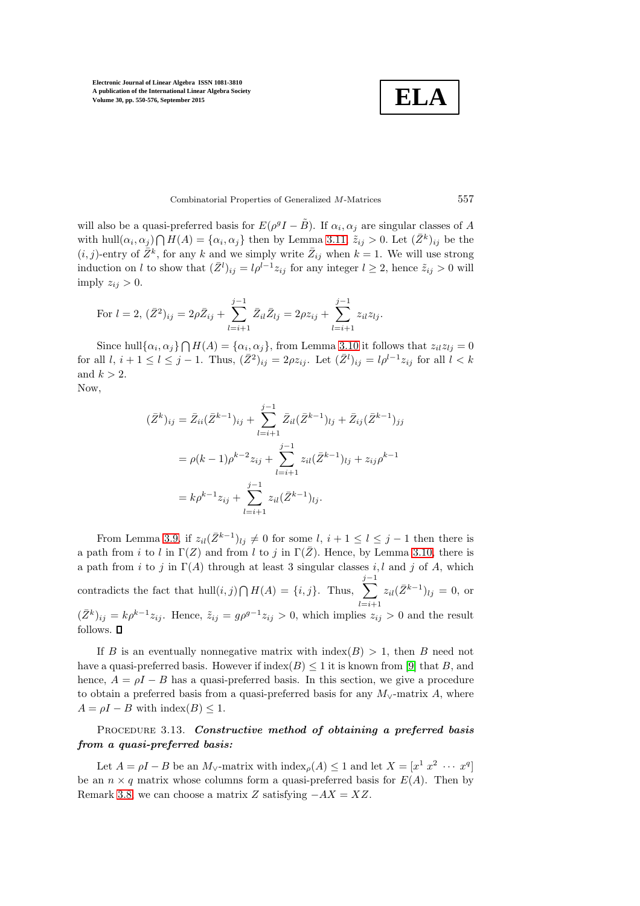**ELA**

Combinatorial Properties of Generalized M-Matrices 557

will also be a quasi-preferred basis for  $E(\rho^g I - \tilde{B})$ . If  $\alpha_i, \alpha_j$  are singular classes of A with hull $(\alpha_i, \alpha_j) \bigcap H(A) = {\alpha_i, \alpha_j}$  then by Lemma [3.11,](#page-6-1)  $\tilde{z}_{ij} > 0$ . Let  $(\bar{Z}^k)_{ij}$  be the  $(i, j)$ -entry of  $\bar{Z}^k$ , for any k and we simply write  $\bar{Z}_{ij}$  when  $k = 1$ . We will use strong induction on l to show that  $(\bar{Z}^l)_{ij} = l\rho^{l-1} z_{ij}$  for any integer  $l \geq 2$ , hence  $\tilde{z}_{ij} > 0$  will imply  $z_{ij} > 0$ .

For 
$$
l = 2
$$
,  $(\bar{Z}^2)_{ij} = 2\rho \bar{Z}_{ij} + \sum_{l=i+1}^{j-1} \bar{Z}_{il} \bar{Z}_{lj} = 2\rho z_{ij} + \sum_{l=i+1}^{j-1} z_{il} z_{lj}.$ 

Since hull $\{\alpha_i, \alpha_j\} \bigcap H(A) = \{\alpha_i, \alpha_j\}$ , from Lemma [3.10](#page-5-2) it follows that  $z_{il}z_{lj} = 0$ for all  $l, i+1 \leq l \leq j-1$ . Thus,  $(\bar{Z}^2)_{ij} = 2\rho z_{ij}$ . Let  $(\bar{Z}^l)_{ij} = l\rho^{l-1} z_{ij}$  for all  $l < k$ and  $k > 2$ . Now,

$$
(\bar{Z}^k)_{ij} = \bar{Z}_{ii}(\bar{Z}^{k-1})_{ij} + \sum_{l=i+1}^{j-1} \bar{Z}_{il}(\bar{Z}^{k-1})_{lj} + \bar{Z}_{ij}(\bar{Z}^{k-1})_{jj}
$$
  
=  $\rho(k-1)\rho^{k-2}z_{ij} + \sum_{l=i+1}^{j-1} z_{il}(\bar{Z}^{k-1})_{lj} + z_{ij}\rho^{k-1}$   
=  $k\rho^{k-1}z_{ij} + \sum_{l=i+1}^{j-1} z_{il}(\bar{Z}^{k-1})_{lj}.$ 

From Lemma [3.9,](#page-5-4) if  $z_{il}(\bar{Z}^{k-1})_{lj} \neq 0$  for some  $l, i + 1 \leq l \leq j - 1$  then there is a path from i to l in  $\Gamma(Z)$  and from l to j in  $\Gamma(\overline{Z})$ . Hence, by Lemma [3.10,](#page-5-2) there is a path from i to j in  $\Gamma(A)$  through at least 3 singular classes i, l and j of A, which contradicts the fact that  $hull(i, j) \bigcap H(A) = \{i, j\}$ . Thus,  $\sum$  $j-1$  $_{i=i+1}$  $z_{il}(\bar{Z}^{k-1})_{lj} = 0$ , or  $(\bar{Z}^k)_{ij} = k \rho^{k-1} z_{ij}$ . Hence,  $\tilde{z}_{ij} = g \rho^{g-1} z_{ij} > 0$ , which implies  $z_{ij} > 0$  and the result follows.  $\blacksquare$ 

If B is an eventually nonnegative matrix with  $\text{index}(B) > 1$ , then B need not have a quasi-preferred basis. However if  $\text{index}(B) \leq 1$  it is known from [\[9\]](#page-26-2) that B, and hence,  $A = \rho I - B$  has a quasi-preferred basis. In this section, we give a procedure to obtain a preferred basis from a quasi-preferred basis for any  $M_{\vee}$ -matrix A, where  $A = \rho I - B$  with index(B)  $\leq 1$ .

# <span id="page-7-0"></span>PROCEDURE 3.13. Constructive method of obtaining a preferred basis from a quasi-preferred basis:

Let  $A = \rho I - B$  be an  $M_{\vee}$ -matrix with  $\text{index}_{\rho}(A) \leq 1$  and let  $X = [x^1 \ x^2 \ \cdots \ x^q]$ be an  $n \times q$  matrix whose columns form a quasi-preferred basis for  $E(A)$ . Then by Remark [3.8,](#page-5-5) we can choose a matrix Z satisfying  $-AX = XZ$ .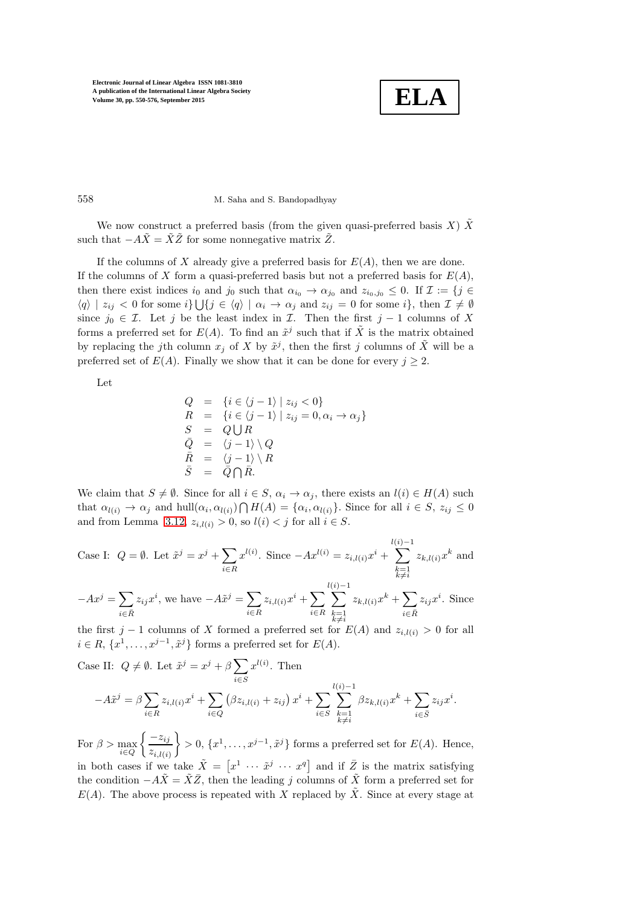

.

558 M. Saha and S. Bandopadhyay

We now construct a preferred basis (from the given quasi-preferred basis X)  $\tilde{X}$ such that  $-A\tilde{X} = \tilde{X}\tilde{Z}$  for some nonnegative matrix  $\tilde{Z}$ .

If the columns of X already give a preferred basis for  $E(A)$ , then we are done. If the columns of X form a quasi-preferred basis but not a preferred basis for  $E(A)$ , then there exist indices  $i_0$  and  $j_0$  such that  $\alpha_{i_0} \to \alpha_{j_0}$  and  $z_{i_0,j_0} \leq 0$ . If  $\mathcal{I} := \{j \in$  $\langle q \rangle | z_{ij} < 0$  for some  $i$   $\bigcup \{ j \in \langle q \rangle | \alpha_i \to \alpha_j \text{ and } z_{ij} = 0 \text{ for some } i \}, \text{ then } \mathcal{I} \neq \emptyset$ since  $j_0 \in \mathcal{I}$ . Let j be the least index in  $\mathcal{I}$ . Then the first j – 1 columns of X forms a preferred set for  $E(A)$ . To find an  $\tilde{x}^j$  such that if  $\tilde{X}$  is the matrix obtained by replacing the j<sup>th</sup> column  $x_j$  of X by  $\tilde{x}^j$ , then the first j columns of  $\tilde{X}$  will be a preferred set of  $E(A)$ . Finally we show that it can be done for every  $j \geq 2$ .

Let

$$
Q = \{i \in \langle j - 1 \rangle \mid z_{ij} < 0\}
$$
\n
$$
R = \{i \in \langle j - 1 \rangle \mid z_{ij} = 0, \alpha_i \to \alpha_j\}
$$
\n
$$
S = Q \cup R
$$
\n
$$
\overline{Q} = \langle j - 1 \rangle \setminus Q
$$
\n
$$
\overline{R} = \langle j - 1 \rangle \setminus R
$$
\n
$$
\overline{S} = \overline{Q} \cap \overline{R}.
$$

We claim that  $S \neq \emptyset$ . Since for all  $i \in S$ ,  $\alpha_i \rightarrow \alpha_j$ , there exists an  $l(i) \in H(A)$  such that  $\alpha_{l(i)} \to \alpha_j$  and  $hull(\alpha_i, \alpha_{l(i)}) \cap H(A) = {\alpha_i, \alpha_{l(i)}}$ . Since for all  $i \in S$ ,  $z_{ij} \leq 0$ and from Lemma [3.12,](#page-6-2)  $z_{i,l(i)} > 0$ , so  $l(i) < j$  for all  $i \in S$ .

Case I: 
$$
Q = \emptyset
$$
. Let  $\tilde{x}^j = x^j + \sum_{i \in R} x^{l(i)}$ . Since  $-Ax^{l(i)} = z_{i,l(i)}x^i + \sum_{\substack{k=1 \ k \neq i}}^{l(i)-1} z_{k,l(i)}x^k$  and  
\n
$$
-Ax^j = \sum_{i \in R} z_{ij}x^i
$$
, we have  $-A\tilde{x}^j = \sum_{i \in R} z_{i,l(i)}x^i + \sum_{\substack{k=1 \ k \neq i}}^{l(i)-1} z_{k,l(i)}x^k + \sum_{i \in R} z_{ij}x^i$ . Since

the first j – 1 columns of X formed a preferred set for  $E(A)$  and  $z_{i,l(i)} > 0$  for all  $i \in R, \{x^1, \ldots, x^{j-1}, \tilde{x}^j\}$  forms a preferred set for  $E(A)$ .

Case II: 
$$
Q \neq \emptyset
$$
. Let  $\tilde{x}^j = x^j + \beta \sum_{i \in S} x^{l(i)}$ . Then  
\n
$$
-A\tilde{x}^j = \beta \sum_{i \in R} z_{i,l(i)} x^i + \sum_{i \in Q} (\beta z_{i,l(i)} + z_{ij}) x^i + \sum_{i \in S} \sum_{\substack{k=1 \ k \neq i}}^{l(i)-1} \beta z_{k,l(i)} x^k + \sum_{i \in \bar{S}} z_{ij} x^i
$$

For  $\beta > \max_{i \in Q}$  $\int -z_{ij}$  $z_{i,l(i)}$  $\{ > 0, \{x^1, \ldots, x^{j-1}, \tilde{x}^j\} \text{ forms a preferred set for } E(A)$ . Hence, in both cases if we take  $\tilde{X} = [x^1 \cdots \tilde{x}^j \cdots x^q]$  and if  $\overline{Z}$  is the matrix satisfying the condition  $-A\tilde{X} = \tilde{X}\bar{Z}$ , then the leading j columns of  $\tilde{X}$  form a preferred set for

 $E(A)$ . The above process is repeated with X replaced by  $\tilde{X}$ . Since at every stage at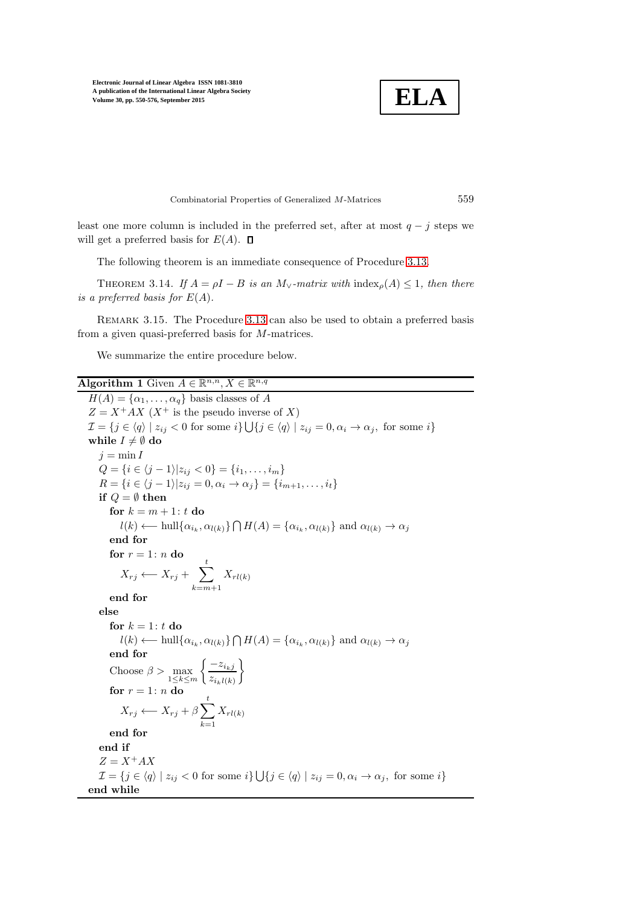

Combinatorial Properties of Generalized M-Matrices 559

least one more column is included in the preferred set, after at most  $q - j$  steps we will get a preferred basis for  $E(A)$ .  $\square$ 

The following theorem is an immediate consequence of Procedure [3.13.](#page-7-0)

THEOREM 3.14. If  $A = \rho I - B$  *is an*  $M_{\vee}$ -matrix with index<sub>p</sub>(A) ≤ 1*, then there is a preferred basis for*  $E(A)$ *.* 

Remark 3.15. The Procedure [3.13](#page-7-0) can also be used to obtain a preferred basis from a given quasi-preferred basis for M-matrices.

We summarize the entire procedure below.

Algorithm 1 Given  $A \in \mathbb{R}^{n,n}, X \in \mathbb{R}^{n,q}$ 

 $H(A) = {\alpha_1, ..., \alpha_q}$  basis classes of A  $Z = X^+AX$  (X<sup>+</sup> is the pseudo inverse of X)  $\mathcal{I} = \{j \in \langle q \rangle \mid z_{ij} < 0 \text{ for some } i\} \bigcup \{j \in \langle q \rangle \mid z_{ij} = 0, \alpha_i \to \alpha_j, \text{ for some } i\}$ while  $I \neq \emptyset$  do  $j = \min I$  $Q = \{i \in \langle j-1 \rangle | z_{ij} < 0 \} = \{i_1, \ldots, i_m \}$  $R = \{i \in \langle j-1 \rangle | z_{ij} = 0, \alpha_i \to \alpha_j\} = \{i_{m+1}, \ldots, i_t\}$ if  $Q = \emptyset$  then for  $k = m + 1$ : t do  $l(k) \longleftarrow \text{hull}\{\alpha_{i_k}, \alpha_{l(k)}\} \bigcap H(A) = \{\alpha_{i_k}, \alpha_{l(k)}\}$  and  $\alpha_{l(k)} \rightarrow \alpha_j$ end for for  $r = 1$ :  $n$  do  $X_{rj} \longleftarrow X_{rj} + \sum_{r=1}^{t}$  $k=m+1$  $X_{rl(k)}$ end for else for  $k = 1$ :  $t$  do  $l(k) \longleftarrow \text{hull}\{\alpha_{i_k}, \alpha_{l(k)}\} \bigcap H(A) = \{\alpha_{i_k}, \alpha_{l(k)}\}$  and  $\alpha_{l(k)} \rightarrow \alpha_j$ end for Choose  $\beta > \max_{1 \leq k \leq m}$  $\int -z_{i_kj}$  $z_{i_k l(k)}$ <sup>1</sup> for  $r = 1: n$  do  $X_{rj} \longleftarrow X_{rj} + \beta \sum_{r}^{t}$  $k=1$  $X_{rl(k)}$ end for end if  $Z = X^+ A X$  $\mathcal{I} = \{j \in \langle q \rangle \mid z_{ij} < 0 \text{ for some } i\} \bigcup \{j \in \langle q \rangle \mid z_{ij} = 0, \alpha_i \to \alpha_j, \text{ for some } i\}$ end while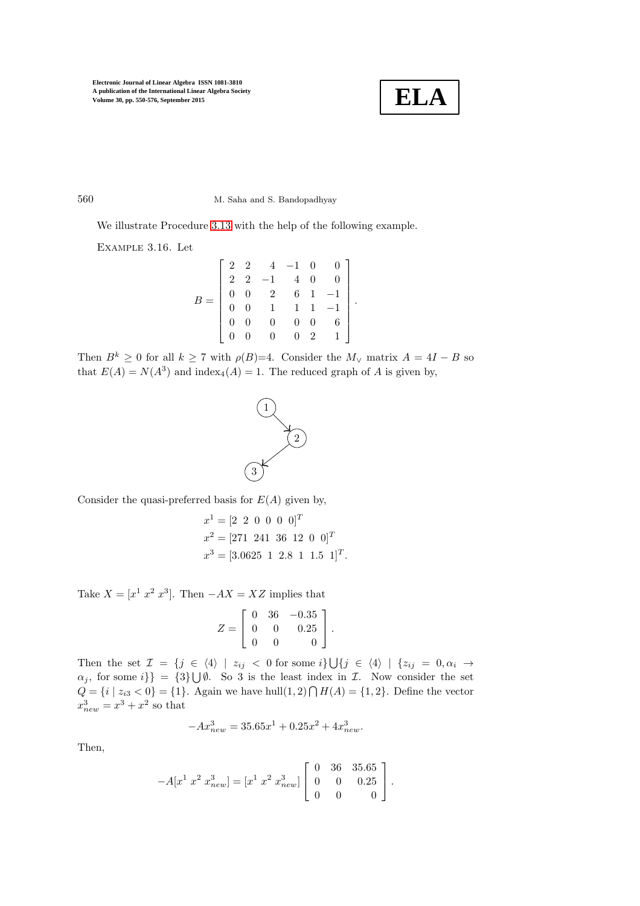

560 M. Saha and S. Bandopadhyay

We illustrate Procedure [3.13](#page-7-0) with the help of the following example.

Example 3.16. Let

|  |  |  | $\begin{bmatrix} 2 & 2 & 4 & -1 & 0 & 0 \\ 2 & 2 & -1 & 4 & 0 & 0 \\ 0 & 0 & 2 & 6 & 1 & -1 \\ 0 & 0 & 1 & 1 & 1 & -1 \\ 0 & 0 & 0 & 0 & 0 & 6 \\ 0 & 0 & 0 & 0 & 2 & 1 \end{bmatrix}$ |
|--|--|--|----------------------------------------------------------------------------------------------------------------------------------------------------------------------------------------|
|  |  |  |                                                                                                                                                                                        |
|  |  |  |                                                                                                                                                                                        |
|  |  |  |                                                                                                                                                                                        |
|  |  |  |                                                                                                                                                                                        |
|  |  |  |                                                                                                                                                                                        |

.

Then  $B^k \geq 0$  for all  $k \geq 7$  with  $\rho(B)=4$ . Consider the  $M_{\vee}$  matrix  $A = 4I - B$  so that  $E(A) = N(A^3)$  and index<sub>4</sub> $(A) = 1$ . The reduced graph of A is given by,



Consider the quasi-preferred basis for  $E(A)$  given by,

$$
x^{1} = [2 \ 2 \ 0 \ 0 \ 0 \ 0]^{T}
$$

$$
x^{2} = [271 \ 241 \ 36 \ 12 \ 0 \ 0]^{T}
$$

$$
x^{3} = [3.0625 \ 1 \ 2.8 \ 1 \ 1.5 \ 1]^{T}.
$$

Take  $X = [x^1 \ x^2 \ x^3]$ . Then  $-AX = XZ$  implies that

$$
Z = \left[ \begin{array}{rrr} 0 & 36 & -0.35 \\ 0 & 0 & 0.25 \\ 0 & 0 & 0 \end{array} \right].
$$

Then the set  $\mathcal{I} = \{j \in \langle 4 \rangle \mid z_{ij} < 0 \text{ for some } i\} \bigcup \{j \in \langle 4 \rangle \mid \{z_{ij} = 0, \alpha_i \rightarrow \emptyset\}$  $\{\alpha_j, \text{ for some } i\} = \{3\} \cup \emptyset$ . So 3 is the least index in  $\mathcal{I}$ . Now consider the set  $Q = \{i \mid z_{i3} < 0\} = \{1\}.$  Again we have hull $(1, 2) \bigcap H(A) = \{1, 2\}.$  Define the vector  $x_{new}^3 = x^3 + x^2$  so that

$$
-Ax_{new}^3 = 35.65x^1 + 0.25x^2 + 4x_{new}^3.
$$

Then,

$$
-A[x^1 \; x^2 \; x^3_{new}] = [x^1 \; x^2 \; x^3_{new}] \begin{bmatrix} 0 & 36 & 35.65 \\ 0 & 0 & 0.25 \\ 0 & 0 & 0 \end{bmatrix}.
$$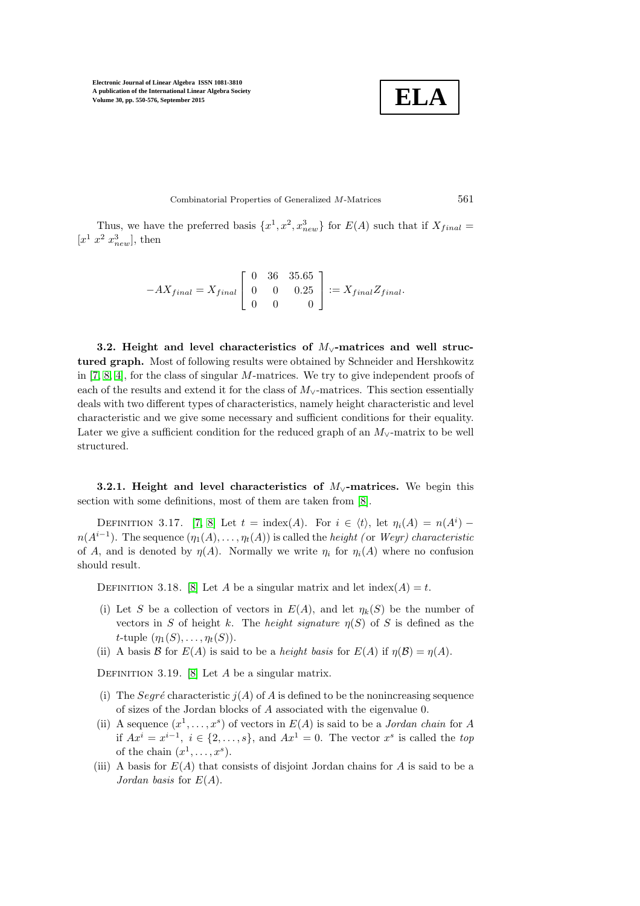**ELA**

Combinatorial Properties of Generalized M-Matrices 561

Thus, we have the preferred basis  $\{x^1, x^2, x^3_{new}\}$  for  $E(A)$  such that if  $X_{final} =$  $[x^1\ x^2\ x_{new}^3]$ , then

$$
-AX_{final} = X_{final} \begin{bmatrix} 0 & 36 & 35.65 \\ 0 & 0 & 0.25 \\ 0 & 0 & 0 \end{bmatrix} := X_{final} Z_{final}.
$$

3.2. Height and level characteristics of  $M_v$ -matrices and well structured graph. Most of following results were obtained by Schneider and Hershkowitz in [\[7,](#page-26-6) [8,](#page-26-5) [4\]](#page-26-9), for the class of singular M-matrices. We try to give independent proofs of each of the results and extend it for the class of  $M_v$ -matrices. This section essentially deals with two different types of characteristics, namely height characteristic and level characteristic and we give some necessary and sufficient conditions for their equality. Later we give a sufficient condition for the reduced graph of an  $M_{\vee}$ -matrix to be well structured.

3.2.1. Height and level characteristics of  $M<sub>√</sub>$ -matrices. We begin this section with some definitions, most of them are taken from [\[8\]](#page-26-5).

DEFINITION 3.17. [\[7,](#page-26-6) [8\]](#page-26-5) Let  $t = \text{index}(A)$ . For  $i \in \langle t \rangle$ , let  $\eta_i(A) = n(A^i)$  $n(A^{i-1})$ . The sequence  $(\eta_1(A), \ldots, \eta_t(A))$  is called the *height (or Weyr) characteristic* of A, and is denoted by  $\eta(A)$ . Normally we write  $\eta_i$  for  $\eta_i(A)$  where no confusion should result.

DEFINITION 3.18. [\[8\]](#page-26-5) Let A be a singular matrix and let  $\text{index}(A) = t$ .

- (i) Let S be a collection of vectors in  $E(A)$ , and let  $\eta_k(S)$  be the number of vectors in S of height k. The *height signature*  $\eta(S)$  of S is defined as the t-tuple  $(\eta_1(S), \ldots, \eta_t(S)).$
- (ii) A basis B for  $E(A)$  is said to be a *height basis* for  $E(A)$  if  $\eta(\mathcal{B}) = \eta(A)$ .

DEFINITION 3.19. [\[8\]](#page-26-5) Let  $A$  be a singular matrix.

- (i) The Seqré characteristic  $i(A)$  of A is defined to be the nonincreasing sequence of sizes of the Jordan blocks of A associated with the eigenvalue 0.
- (ii) A sequence  $(x^1, \ldots, x^s)$  of vectors in  $E(A)$  is said to be a *Jordan chain* for A if  $Ax^i = x^{i-1}$ ,  $i \in \{2, ..., s\}$ , and  $Ax^1 = 0$ . The vector  $x^s$  is called the *top* of the chain  $(x^1, \ldots, x^s)$ .
- (iii) A basis for  $E(A)$  that consists of disjoint Jordan chains for A is said to be a *Jordan basis* for E(A).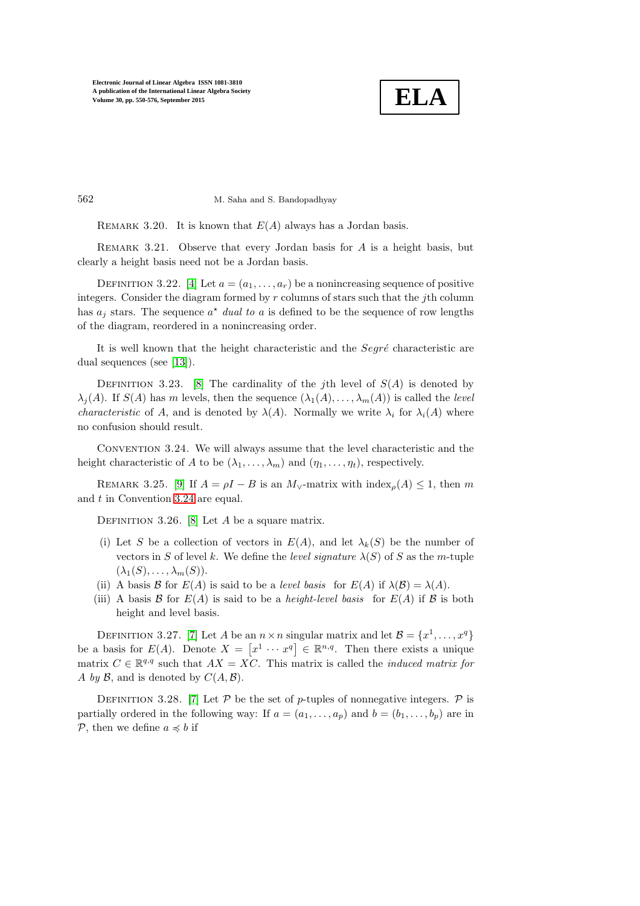

562 M. Saha and S. Bandopadhyay

REMARK 3.20. It is known that  $E(A)$  always has a Jordan basis.

REMARK 3.21. Observe that every Jordan basis for  $A$  is a height basis, but clearly a height basis need not be a Jordan basis.

DEFINITION 3.22. [\[4\]](#page-26-9) Let  $a = (a_1, \ldots, a_r)$  be a nonincreasing sequence of positive integers. Consider the diagram formed by  $r$  columns of stars such that the jth column has  $a_j$  stars. The sequence  $a^*$  *dual to* a is defined to be the sequence of row lengths of the diagram, reordered in a nonincreasing order.

It is well known that the height characteristic and the  $Segr\acute{e}$  characteristic are dual sequences (see [\[13\]](#page-26-10)).

DEFINITION 3.23. [\[8\]](#page-26-5) The cardinality of the *i*th level of  $S(A)$  is denoted by  $\lambda_i(A)$ . If  $S(A)$  has m levels, then the sequence  $(\lambda_1(A), \ldots, \lambda_m(A))$  is called the *level characteristic* of A, and is denoted by  $\lambda(A)$ . Normally we write  $\lambda_i$  for  $\lambda_i(A)$  where no confusion should result.

<span id="page-12-0"></span>Convention 3.24. We will always assume that the level characteristic and the height characteristic of A to be  $(\lambda_1, \ldots, \lambda_m)$  and  $(\eta_1, \ldots, \eta_t)$ , respectively.

REMARK 3.25. [\[9\]](#page-26-2) If  $A = \rho I - B$  is an  $M_v$ -matrix with index $\rho(A) \leq 1$ , then m and  $t$  in Convention [3.24](#page-12-0) are equal.

DEFINITION 3.26. [\[8\]](#page-26-5) Let A be a square matrix.

- (i) Let S be a collection of vectors in  $E(A)$ , and let  $\lambda_k(S)$  be the number of vectors in S of level k. We define the *level signature*  $\lambda(S)$  of S as the m-tuple  $(\lambda_1(S), \ldots, \lambda_m(S)).$
- (ii) A basis B for  $E(A)$  is said to be a *level basis* for  $E(A)$  if  $\lambda(B) = \lambda(A)$ .
- (iii) A basis  $\mathcal{B}$  for  $E(A)$  is said to be a *height-level basis* for  $E(A)$  if  $\mathcal{B}$  is both height and level basis.

DEFINITION 3.27. [\[7\]](#page-26-6) Let A be an  $n \times n$  singular matrix and let  $\mathcal{B} = \{x^1, \ldots, x^q\}$ be a basis for  $E(A)$ . Denote  $X = [x^1 \cdots x^q] \in \mathbb{R}^{n,q}$ . Then there exists a unique matrix  $C \in \mathbb{R}^{q,q}$  such that  $AX = XC$ . This matrix is called the *induced matrix for* A *by*  $\mathcal{B}$ , and is denoted by  $C(A, \mathcal{B})$ .

DEFINITION 3.28. [\[7\]](#page-26-6) Let P be the set of p-tuples of nonnegative integers. P is partially ordered in the following way: If  $a = (a_1, \ldots, a_p)$  and  $b = (b_1, \ldots, b_p)$  are in P, then we define  $a \preccurlyeq b$  if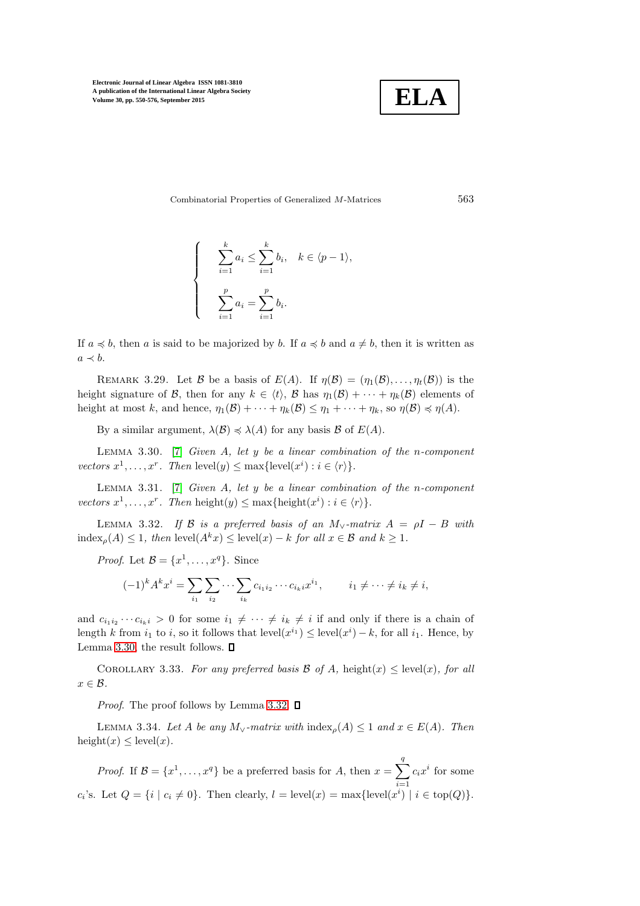

Combinatorial Properties of Generalized M-Matrices 563

$$
\begin{cases}\n\sum_{i=1}^{k} a_i \le \sum_{i=1}^{k} b_i, & k \in \langle p-1 \rangle, \\
\sum_{i=1}^{p} a_i = \sum_{i=1}^{p} b_i.\n\end{cases}
$$

<span id="page-13-4"></span>If  $a \preccurlyeq b$ , then a is said to be majorized by b. If  $a \preccurlyeq b$  and  $a \neq b$ , then it is written as  $a \prec b$ .

REMARK 3.29. Let B be a basis of  $E(A)$ . If  $\eta(\mathcal{B}) = (\eta_1(\mathcal{B}), \ldots, \eta_t(\mathcal{B}))$  is the height signature of B, then for any  $k \in \langle t \rangle$ , B has  $\eta_1(\mathcal{B}) + \cdots + \eta_k(\mathcal{B})$  elements of height at most k, and hence,  $\eta_1(\mathcal{B}) + \cdots + \eta_k(\mathcal{B}) \leq \eta_1 + \cdots + \eta_k$ , so  $\eta(\mathcal{B}) \preccurlyeq \eta(A)$ .

<span id="page-13-0"></span>By a similar argument,  $\lambda(\mathcal{B}) \preccurlyeq \lambda(A)$  for any basis  $\mathcal{B}$  of  $E(A)$ .

Lemma 3.30. [\[7\]](#page-26-6) *Given* A*, let* y *be a linear combination of the* n*-component vectors*  $x^1, \ldots, x^r$ . Then  $\text{level}(y) \leq \max\{\text{level}(x^i) : i \in \langle r \rangle\}.$ 

Lemma 3.31. [\[7\]](#page-26-6) *Given* A*, let* y *be a linear combination of the* n*-component vectors*  $x^1, \ldots, x^r$ . Then height $(y) \leq \max{\text{height}(x^i) : i \in \langle r \rangle}.$ 

LEMMA 3.32. *If*  $\beta$  *is a preferred basis of an*  $M_{\vee}$ *-matrix*  $A = \rho I - B$  *with* index<sub>o</sub>(A) < 1*, then* level( $A^k x$ ) < level(x) – k for all  $x \in \mathcal{B}$  and  $k > 1$ *.* 

*Proof.* Let  $\mathcal{B} = \{x^1, \ldots, x^q\}$ . Since

<span id="page-13-2"></span><span id="page-13-1"></span>
$$
(-1)^k A^k x^i = \sum_{i_1} \sum_{i_2} \cdots \sum_{i_k} c_{i_1 i_2} \cdots c_{i_k i} x^{i_1}, \qquad i_1 \neq \cdots \neq i_k \neq i,
$$

and  $c_{i_1i_2}\cdots c_{i_ki} > 0$  for some  $i_1 \neq \cdots \neq i_k \neq i$  if and only if there is a chain of length k from  $i_1$  to i, so it follows that  $level(x^{i_1}) \leq level(x^{i}) - k$ , for all  $i_1$ . Hence, by Lemma [3.30,](#page-13-0) the result follows.  $\Box$ 

COROLLARY 3.33. For any preferred basis  $\mathcal{B}$  of  $A$ , height(x)  $\leq$  level(x), for all  $x \in \mathcal{B}$ .

<span id="page-13-3"></span>*Proof.* The proof follows by Lemma [3.32.](#page-13-1)  $\Box$ 

LEMMA 3.34. Let A be any  $M_{\vee}$ -matrix with  $\text{index}_{\rho}(A) \leq 1$  and  $x \in E(A)$ . Then height(x)  $\leq$  level(x).

*Proof.* If  $\mathcal{B} = \{x^1, \ldots, x^q\}$  be a preferred basis for A, then  $x = \sum_{i=1}^q$  $i=1$  $c_i x^i$  for some c<sub>i</sub>'s. Let  $Q = \{i \mid c_i \neq 0\}$ . Then clearly,  $l = \text{level}(x) = \max\{\text{level}(x^i) \mid i \in \text{top}(Q)\}.$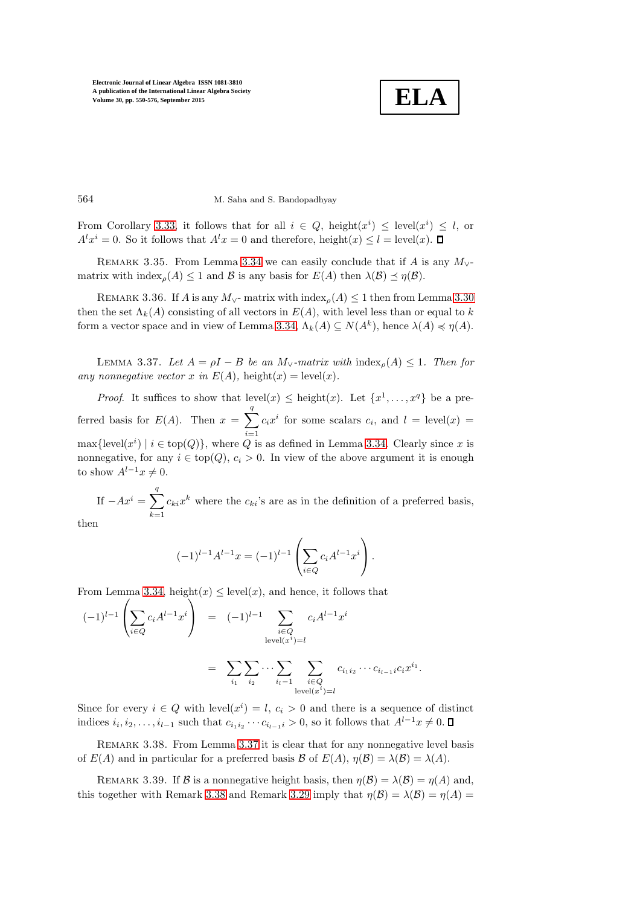<span id="page-14-2"></span>**ELA**

564 M. Saha and S. Bandopadhyay

From Corollary [3.33,](#page-13-2) it follows that for all  $i \in Q$ , height $(x^{i}) \leq$  level $(x^{i}) \leq l$ , or  $A^l x^i = 0$ . So it follows that  $A^l x = 0$  and therefore, height $(x) \leq l = \text{level}(x)$ .

REMARK 3.35. From Lemma [3.34](#page-13-3) we can easily conclude that if A is any  $M_{\vee}$ matrix with index<sub> $\rho(A) \leq 1$ </sub> and  $\beta$  is any basis for  $E(A)$  then  $\lambda(\beta) \leq \eta(\beta)$ .

REMARK 3.36. If A is any  $M_{\vee}$ - matrix with index<sub>ρ</sub>(A)  $\leq$  1 then from Lemma [3.30](#page-13-0) then the set  $\Lambda_k(A)$  consisting of all vectors in  $E(A)$ , with level less than or equal to k form a vector space and in view of Lemma [3.34,](#page-13-3)  $\Lambda_k(A) \subseteq N(A^k)$ , hence  $\lambda(A) \preccurlyeq \eta(A)$ .

<span id="page-14-0"></span>LEMMA 3.37. Let  $A = \rho I - B$  be an  $M_{\vee}$ -matrix with index<sub>p</sub>(A) ≤ 1. Then for *any nonnegative vector* x *in*  $E(A)$ , height(x) = level(x).

*Proof.* It suffices to show that  $level(x) \leq height(x)$ . Let  $\{x^1, \ldots, x^q\}$  be a preferred basis for  $E(A)$ . Then  $x = \sum_{n=1}^{q}$  $i=1$  $c_i x^i$  for some scalars  $c_i$ , and  $l = \text{level}(x) =$  $\max{\{\text{level}(x^i) \mid i \in \text{top}(Q)\}\text{, where } Q \text{ is as defined in Lemma 3.34. Clearly since } x \text{ is } Q.$  $\max{\{\text{level}(x^i) \mid i \in \text{top}(Q)\}\text{, where } Q \text{ is as defined in Lemma 3.34. Clearly since } x \text{ is } Q.$  $\max{\{\text{level}(x^i) \mid i \in \text{top}(Q)\}\text{, where } Q \text{ is as defined in Lemma 3.34. Clearly since } x \text{ is } Q.$ nonnegative, for any  $i \in \text{top}(Q)$ ,  $c_i > 0$ . In view of the above argument it is enough to show  $A^{l-1}x \neq 0$ .

If  $-Ax^i = \sum_{i=1}^q$  $k=1$  $c_{ki}x^k$  where the  $c_{ki}$ 's are as in the definition of a preferred basis, then

<span id="page-14-1"></span>
$$
(-1)^{l-1}A^{l-1}x = (-1)^{l-1}\left(\sum_{i\in Q}c_iA^{l-1}x^i\right).
$$

From Lemma [3.34,](#page-13-3) height $(x) \leq level(x)$ , and hence, it follows that

$$
(-1)^{l-1} \left( \sum_{i \in Q} c_i A^{l-1} x^i \right) = (-1)^{l-1} \sum_{\substack{i \in Q \\ \text{level}(x^i) = l}} c_i A^{l-1} x^i
$$

$$
= \sum_{i_1} \sum_{i_2} \cdots \sum_{\substack{i_{l-1} \\ \text{level}(x^i) = l}} c_{i_1 i_2} \cdots c_{i_{l-1} i} c_i x^{i_1}.
$$

Since for every  $i \in Q$  with level $(x^i) = l, c_i > 0$  and there is a sequence of distinct indices  $i_i, i_2, \ldots, i_{l-1}$  such that  $c_{i_1 i_2} \cdots c_{i_{l-1} i} > 0$ , so it follows that  $A^{l-1} x \neq 0$ .

REMARK 3.38. From Lemma [3.37](#page-14-0) it is clear that for any nonnegative level basis of  $E(A)$  and in particular for a preferred basis  $\mathcal B$  of  $E(A)$ ,  $\eta(\mathcal B) = \lambda(\mathcal B) = \lambda(A)$ .

REMARK 3.39. If B is a nonnegative height basis, then  $\eta(\mathcal{B}) = \lambda(\mathcal{B}) = \eta(A)$  and, this together with Remark [3.38](#page-14-1) and Remark [3.29](#page-13-4) imply that  $\eta(\mathcal{B}) = \lambda(\mathcal{B}) = \eta(A)$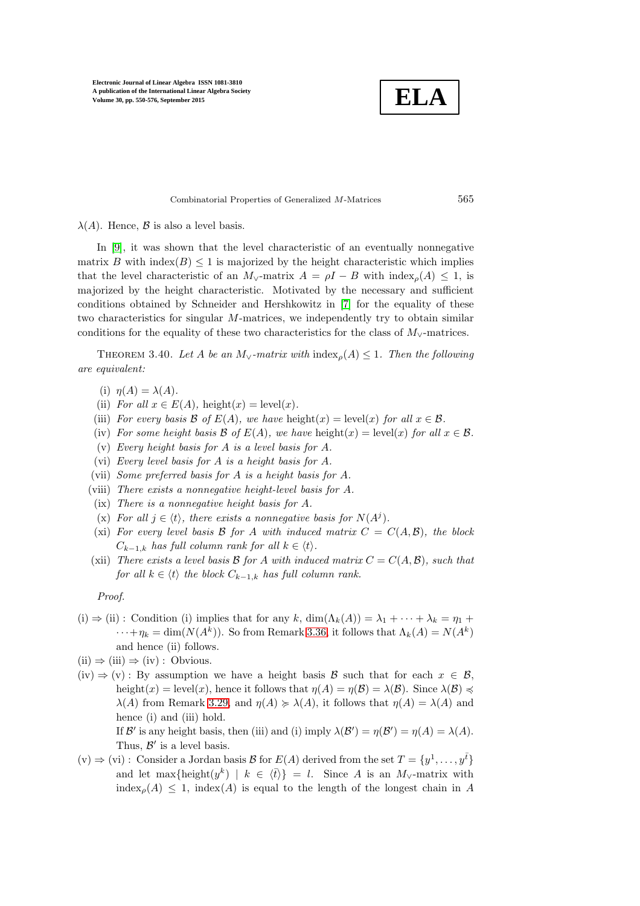**ELA**

#### Combinatorial Properties of Generalized M-Matrices 565

 $\lambda(A)$ . Hence,  $\beta$  is also a level basis.

In [\[9\]](#page-26-2), it was shown that the level characteristic of an eventually nonnegative matrix B with index( $B$ )  $\leq$  1 is majorized by the height characteristic which implies that the level characteristic of an  $M_{\vee}$ -matrix  $A = \rho I - B$  with  $\text{index}_{\rho}(A) \leq 1$ , is majorized by the height characteristic. Motivated by the necessary and sufficient conditions obtained by Schneider and Hershkowitz in [\[7\]](#page-26-6) for the equality of these two characteristics for singular M-matrices, we independently try to obtain similar conditions for the equality of these two characteristics for the class of  $M_{\vee}$ -matrices.

THEOREM 3.40. Let A be an  $M_{\vee}$ -matrix with  $\text{index}_{\rho}(A) \leq 1$ . Then the following *are equivalent:*

- (i)  $\eta(A) = \lambda(A)$ .
- (ii) *For all*  $x \in E(A)$ , height $(x) = \text{level}(x)$ .
- (iii) *For every basis*  $\mathcal{B}$  *of*  $E(A)$ *, we have* height(x) = level(x) *for all*  $x \in \mathcal{B}$ *.*
- (iv) *For some height basis*  $\mathcal{B}$  *of*  $E(A)$ *, we have* height(x) = level(x) *for all*  $x \in \mathcal{B}$ *.*
- (v) *Every height basis for* A *is a level basis for* A*.*
- (vi) *Every level basis for* A *is a height basis for* A*.*
- (vii) *Some preferred basis for* A *is a height basis for* A*.*
- (viii) *There exists a nonnegative height-level basis for* A*.*
- (ix) *There is a nonnegative height basis for* A*.*
- (x) For all  $j \in \langle t \rangle$ , there exists a nonnegative basis for  $N(A^j)$ .
- (xi) For every level basis  $\mathcal{B}$  for  $A$  with induced matrix  $C = C(A, \mathcal{B})$ , the block  $C_{k-1,k}$  *has full column rank for all*  $k \in \langle t \rangle$ *.*
- (xii) *There exists a level basis*  $\mathcal{B}$  *for*  $A$  *with induced matrix*  $C = C(A, \mathcal{B})$ *, such that for all*  $k \in \langle t \rangle$  *the block*  $C_{k-1,k}$  *has full column rank.*

*Proof.*

- (i)  $\Rightarrow$  (ii) : Condition (i) implies that for any k, dim( $\Lambda_k(A)$ ) =  $\lambda_1 + \cdots + \lambda_k = \eta_1 + \cdots$  $\cdots + \eta_k = \dim(N(A^k))$ . So from Remark [3.36,](#page-14-2) it follows that  $\Lambda_k(A) = N(A^k)$ and hence (ii) follows.
- $(ii) \Rightarrow (iii) \Rightarrow (iv) : Obvious.$
- $(iv) \Rightarrow (v) : By assumption we have a height basis  $\beta$  such that for each  $x \in \beta$ ,$ height(x) = level(x), hence it follows that  $\eta(A) = \eta(B) = \lambda(B)$ . Since  $\lambda(B) \preccurlyeq$  $\lambda(A)$  from Remark [3.29,](#page-13-4) and  $\eta(A) \geq \lambda(A)$ , it follows that  $\eta(A) = \lambda(A)$  and hence (i) and (iii) hold.

If B' is any height basis, then (iii) and (i) imply  $\lambda(\mathcal{B}') = \eta(\mathcal{B}') = \eta(A) = \lambda(A)$ . Thus,  $\mathcal{B}'$  is a level basis.

 $(v) \Rightarrow (vi) :$  Consider a Jordan basis B for  $E(A)$  derived from the set  $T = \{y^1, \ldots, y^{\bar{t}}\}$ and let max{height $(y^k)$  |  $k \in \langle \bar{t} \rangle$ } = l. Since A is an M<sub>∨</sub>-matrix with  $\text{index}_{\rho}(A) \leq 1$ ,  $\text{index}(A)$  is equal to the length of the longest chain in A

<span id="page-15-0"></span>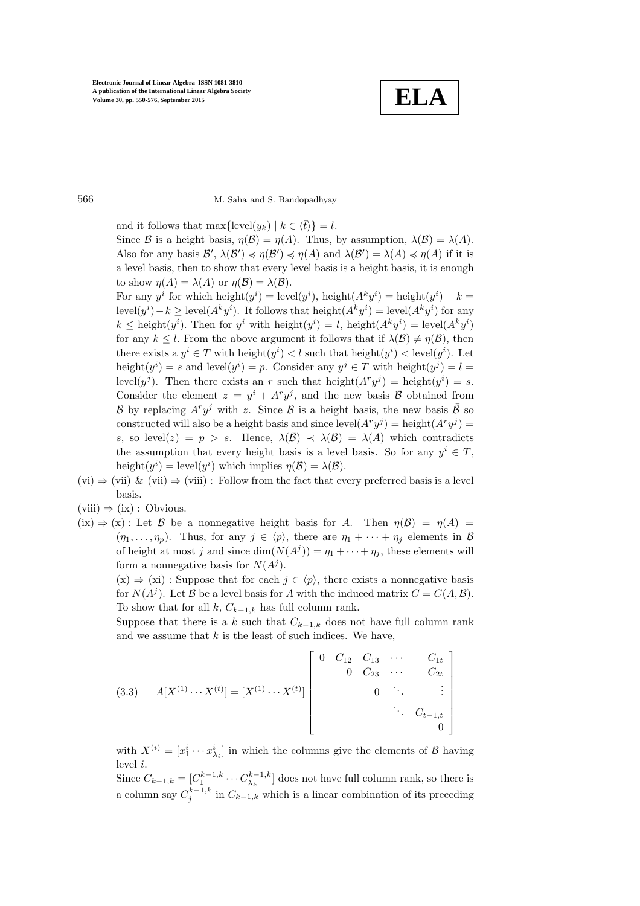**ELA**

566 M. Saha and S. Bandopadhyay

and it follows that max $\{\text{level}(y_k) \mid k \in \langle \bar{t} \rangle\} = l.$ 

Since B is a height basis,  $\eta(\mathcal{B}) = \eta(A)$ . Thus, by assumption,  $\lambda(\mathcal{B}) = \lambda(A)$ . Also for any basis  $\mathcal{B}', \lambda(\mathcal{B}') \preccurlyeq \eta(\mathcal{B}') \preccurlyeq \eta(A)$  and  $\lambda(\mathcal{B}') = \lambda(A) \preccurlyeq \eta(A)$  if it is a level basis, then to show that every level basis is a height basis, it is enough to show  $\eta(A) = \lambda(A)$  or  $\eta(B) = \lambda(B)$ .

For any  $y^i$  for which height $(y^i) = \text{level}(y^i)$ , height $(A^k y^i) = \text{height}(y^i) - k =$  $\text{level}(y^i) - k \ge \text{level}(A^k y^i)$ . It follows that  $\text{height}(A^k y^i) = \text{level}(A^k y^i)$  for any  $k \leq$  height $(y<sup>i</sup>)$ . Then for  $y<sup>i</sup>$  with height $(y<sup>i</sup>) = l$ , height $(A<sup>k</sup>y<sup>i</sup>) =$  level $(A<sup>k</sup>y<sup>i</sup>)$ for any  $k \leq l$ . From the above argument it follows that if  $\lambda(\mathcal{B}) \neq \eta(\mathcal{B})$ , then there exists a  $y^i \in T$  with height $(y^i) < l$  such that height $(y^i) <$  level $(y^i)$ . Let height $(y^i) = s$  and level $(y^i) = p$ . Consider any  $y^j \in T$  with height $(y^j) = l$ level $(y^{j})$ . Then there exists an r such that height $(A^{r}y^{j}) =$  height $(y^{i}) = s$ . Consider the element  $z = y^i + A^r y^j$ , and the new basis  $\overline{B}$  obtained from B by replacing  $A^r y^j$  with z. Since B is a height basis, the new basis  $\overline{B}$  so constructed will also be a height basis and since  $level(A<sup>r</sup>y<sup>j</sup>) = height(A<sup>r</sup>y<sup>j</sup>) =$ s, so level(z) = p > s. Hence,  $\lambda(\overline{B}) \prec \lambda(B) = \lambda(A)$  which contradicts the assumption that every height basis is a level basis. So for any  $y^i \in T$ , height $(y^i)$  = level $(y^i)$  which implies  $\eta(\mathcal{B}) = \lambda(\mathcal{B})$ .

- $(vi) \Rightarrow (vii) \& (vii) \Rightarrow (viii)$ : Follow from the fact that every preferred basis is a level basis.
- $(viii) \Rightarrow (ix) : Obvious.$
- $(ix) \Rightarrow (x)$ : Let B be a nonnegative height basis for A. Then  $\eta(B) = \eta(A)$  $(\eta_1, \ldots, \eta_p)$ . Thus, for any  $j \in \langle p \rangle$ , there are  $\eta_1 + \cdots + \eta_j$  elements in B of height at most j and since  $\dim(N(A^j)) = \eta_1 + \cdots + \eta_j$ , these elements will form a nonnegative basis for  $N(A<sup>j</sup>)$ .

 $(x) \Rightarrow (xi)$ : Suppose that for each  $j \in \langle p \rangle$ , there exists a nonnegative basis for  $N(A^j)$ . Let  $\mathcal B$  be a level basis for A with the induced matrix  $C = C(A, \mathcal B)$ . To show that for all  $k$ ,  $C_{k-1,k}$  has full column rank.

Suppose that there is a k such that  $C_{k-1,k}$  does not have full column rank and we assume that  $k$  is the least of such indices. We have,

<span id="page-16-0"></span>
$$
(3.3) \quad A[X^{(1)} \cdots X^{(t)}] = [X^{(1)} \cdots X^{(t)}] \begin{bmatrix} 0 & C_{12} & C_{13} & \cdots & C_{1t} \\ & 0 & C_{23} & \cdots & C_{2t} \\ & & 0 & \cdots & \vdots \\ & & & \ddots & C_{t-1,t} \\ & & & & 0 \end{bmatrix}
$$

with  $X^{(i)} = [x_1^i \cdots x_{\lambda_i}^i]$  in which the columns give the elements of  $\beta$  having  $level i.$ 

Since  $C_{k-1,k} = [C_1^{k-1,k} \cdots C_{\lambda_k}^{k-1,k}]$  does not have full column rank, so there is a column say  $C_j^{k-1,k}$  in  $C_{k-1,k}$  which is a linear combination of its preceding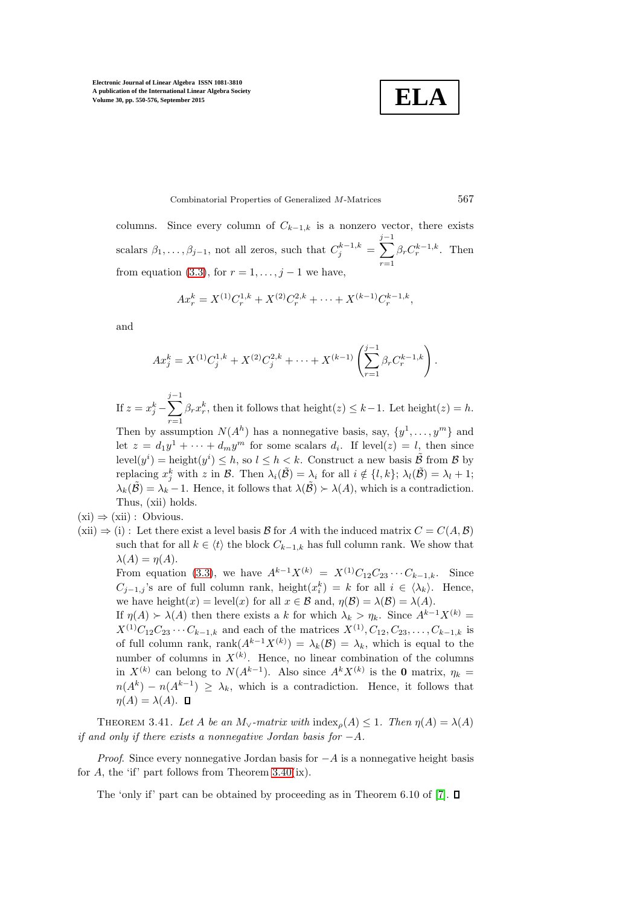**ELA**

Combinatorial Properties of Generalized M-Matrices 567

columns. Since every column of  $C_{k-1,k}$  is a nonzero vector, there exists scalars  $\beta_1, \ldots, \beta_{j-1}$ , not all zeros, such that  $C_j^{k-1,k} = \sum$  $j-1$  $r=1$  $\beta_r C_r^{k-1,k}$ . Then from equation [\(3.3\)](#page-16-0), for  $r = 1, \ldots, j - 1$  we have,

$$
Ax_r^k = X^{(1)}C_r^{1,k} + X^{(2)}C_r^{2,k} + \cdots + X^{(k-1)}C_r^{k-1,k},
$$

and

$$
Ax_j^k = X^{(1)}C_j^{1,k} + X^{(2)}C_j^{2,k} + \dots + X^{(k-1)}\left(\sum_{r=1}^{j-1} \beta_r C_r^{k-1,k}\right).
$$

If  $z=x_j^k-\sum$  $j-1$  $r=1$  $\beta_r x_r^k$ , then it follows that height(z)  $\leq k-1$ . Let height(z) = h.

Then by assumption  $N(A^h)$  has a nonnegative basis, say,  $\{y^1, \ldots, y^m\}$  and let  $z = d_1y^1 + \cdots + d_my^m$  for some scalars  $d_i$ . If level $(z) = l$ , then since  $\mathrm{level}(y^i) = \mathrm{height}(y^i) \leq h$ , so  $l \leq h < k$ . Construct a new basis  $\tilde{\mathcal{B}}$  from  $\mathcal{B}$  by replacing  $x_j^k$  with z in  $\mathcal{B}$ . Then  $\lambda_i(\tilde{\mathcal{B}}) = \lambda_i$  for all  $i \notin \{l, k\}; \lambda_l(\tilde{\mathcal{B}}) = \lambda_l + 1;$  $\lambda_k(\tilde{\mathcal{B}}) = \lambda_k - 1$ . Hence, it follows that  $\lambda(\tilde{\mathcal{B}}) \succ \lambda(A)$ , which is a contradiction. Thus, (xii) holds.

 $(xi) \Rightarrow (xii) : Obvious.$ 

 $(xii) \Rightarrow (i)$ : Let there exist a level basis B for A with the induced matrix  $C = C(A, \mathcal{B})$ such that for all  $k \in \langle t \rangle$  the block  $C_{k-1,k}$  has full column rank. We show that  $\lambda(A) = \eta(A).$ 

From equation [\(3.3\)](#page-16-0), we have  $A^{k-1}X^{(k)} = X^{(1)}C_{12}C_{23}\cdots C_{k-1,k}$ . Since  $C_{j-1,j}$ 's are of full column rank, height $(x_i^k) = k$  for all  $i \in \langle \lambda_k \rangle$ . Hence, we have height(x) = level(x) for all  $x \in \mathcal{B}$  and,  $\eta(\mathcal{B}) = \lambda(\mathcal{B}) = \lambda(A)$ .

If  $\eta(A)$  ≻  $\lambda(A)$  then there exists a k for which  $\lambda_k > \eta_k$ . Since  $A^{k-1}X^{(k)} =$  $X^{(1)}C_{12}C_{23}\cdots C_{k-1,k}$  and each of the matrices  $X^{(1)}, C_{12}, C_{23}, \ldots, C_{k-1,k}$  is of full column rank, rank $(A^{k-1}X^{(k)}) = \lambda_k(\mathcal{B}) = \lambda_k$ , which is equal to the number of columns in  $X^{(k)}$ . Hence, no linear combination of the columns in  $X^{(k)}$  can belong to  $N(A^{k-1})$ . Also since  $A^k X^{(k)}$  is the 0 matrix,  $\eta_k =$  $n(A^k) - n(A^{k-1}) \geq \lambda_k$ , which is a contradiction. Hence, it follows that  $\eta(A) = \lambda(A)$ .  $\Box$ 

THEOREM 3.41. Let A be an  $M_{\vee}$ -matrix with  $\text{index}_{\rho}(A) \leq 1$ . Then  $\eta(A) = \lambda(A)$ *if and only if there exists a nonnegative Jordan basis for* −A*.*

*Proof.* Since every nonnegative Jordan basis for  $-A$  is a nonnegative height basis for A, the 'if' part follows from Theorem  $3.40(ix)$ .

The 'only if' part can be obtained by proceeding as in Theorem 6.10 of [\[7\]](#page-26-6).  $\square$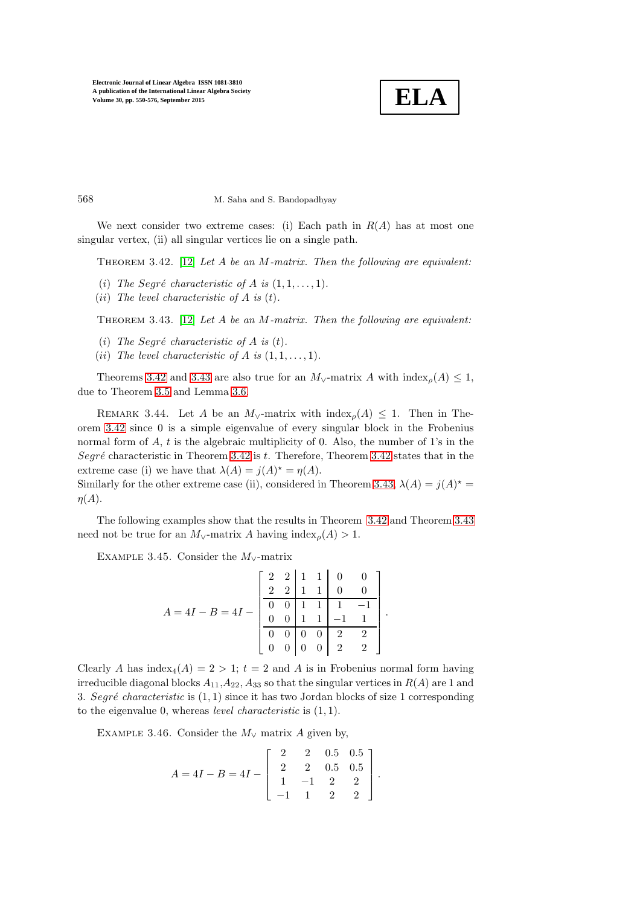<span id="page-18-0"></span>

568 M. Saha and S. Bandopadhyay

We next consider two extreme cases: (i) Each path in  $R(A)$  has at most one singular vertex, (ii) all singular vertices lie on a single path.

Theorem 3.42. [\[12\]](#page-26-11) *Let* A *be an* M*-matrix. Then the following are equivalent:*

- (i) The Segré characteristic of A is  $(1, 1, \ldots, 1)$ .
- <span id="page-18-1"></span>(ii) *The level characteristic of* A *is* (t)*.*

Theorem 3.43. [\[12\]](#page-26-11) *Let* A *be an* M*-matrix. Then the following are equivalent:*

- (*i*) The Segré characteristic of A is  $(t)$ .
- (*ii*) The level characteristic of A is  $(1, 1, \ldots, 1)$ .

Theorems [3.42](#page-18-0) and [3.43](#page-18-1) are also true for an  $M_{\vee}$ -matrix A with index<sub>*o*</sub>(A) < 1, due to Theorem [3.5](#page-5-3) and Lemma [3.6.](#page-5-6)

REMARK 3.44. Let A be an  $M_v$ -matrix with  $\text{index}_{\rho}(A) \leq 1$ . Then in Theorem [3.42](#page-18-0) since 0 is a simple eigenvalue of every singular block in the Frobenius normal form of  $A$ ,  $t$  is the algebraic multiplicity of 0. Also, the number of 1's in the Segré characteristic in Theorem [3.42](#page-18-0) is  $t$ . Therefore, Theorem 3.42 states that in the extreme case (i) we have that  $\lambda(A) = j(A)^* = \eta(A)$ .

Similarly for the other extreme case (ii), considered in Theorem [3.43,](#page-18-1)  $\lambda(A) = j(A)^* = j(A)$  $\eta(A)$ .

The following examples show that the results in Theorem [3.42](#page-18-0) and Theorem [3.43](#page-18-1) need not be true for an  $M_v$ -matrix A having index<sub>p</sub>(A) > 1.

EXAMPLE 3.45. Consider the  $M_v$ -matrix

$$
A = 4I - B = 4I - \left[\begin{array}{rrrrr} 2 & 2 & 1 & 1 & 0 & 0 \\ 2 & 2 & 1 & 1 & 0 & 0 \\ \hline 0 & 0 & 1 & 1 & 1 & -1 \\ 0 & 0 & 1 & 1 & -1 & 1 \\ \hline 0 & 0 & 0 & 0 & 2 & 2 \\ 0 & 0 & 0 & 0 & 2 & 2 \end{array}\right].
$$

Clearly A has index<sub>4</sub>(A) = 2 > 1; t = 2 and A is in Frobenius normal form having irreducible diagonal blocks  $A_{11}, A_{22}, A_{33}$  so that the singular vertices in  $R(A)$  are 1 and 3. Segré *characteristic* is  $(1, 1)$  since it has two Jordan blocks of size 1 corresponding to the eigenvalue 0, whereas *level characteristic* is (1, 1).

EXAMPLE 3.46. Consider the  $M_v$  matrix A given by,

$$
A = 4I - B = 4I - \begin{bmatrix} 2 & 2 & 0.5 & 0.5 \\ 2 & 2 & 0.5 & 0.5 \\ 1 & -1 & 2 & 2 \\ -1 & 1 & 2 & 2 \end{bmatrix}.
$$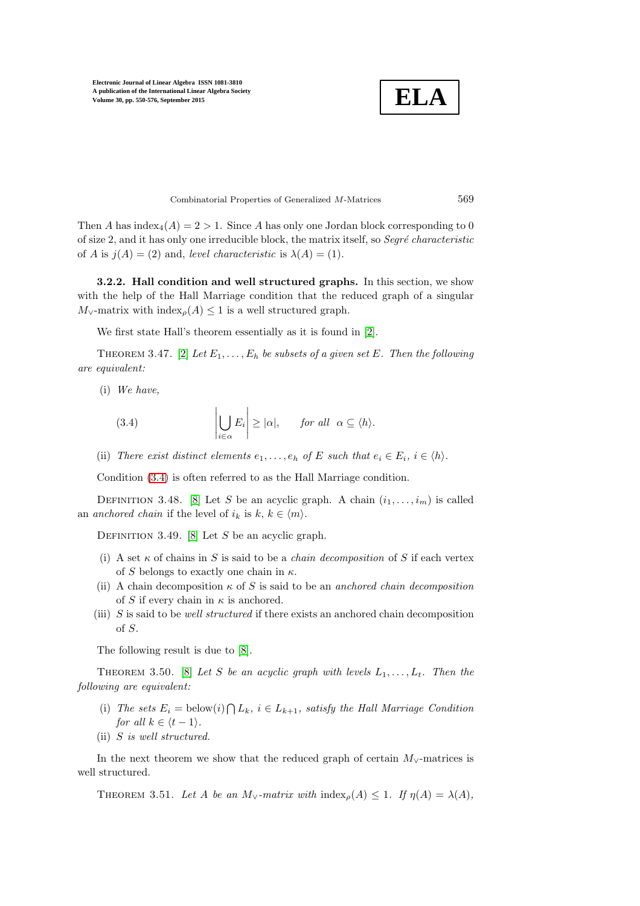

Combinatorial Properties of Generalized M-Matrices 569

Then A has index<sub>4</sub> $(A) = 2 > 1$ . Since A has only one Jordan block corresponding to 0 of size 2, and it has only one irreducible block, the matrix itself, so *Segré characteristic* of A is  $j(A) = (2)$  and, *level characteristic* is  $\lambda(A) = (1)$ .

3.2.2. Hall condition and well structured graphs. In this section, we show with the help of the Hall Marriage condition that the reduced graph of a singular  $M_{\vee}$ -matrix with index<sub>p</sub>(A) ≤ 1 is a well structured graph.

We first state Hall's theorem essentially as it is found in [\[2\]](#page-26-12).

THEOREM 3.47. [\[2\]](#page-26-12) Let  $E_1, \ldots, E_h$  be subsets of a given set E. Then the following *are equivalent:*

(i) *We have,*

<span id="page-19-0"></span>(3.4) 
$$
\left|\bigcup_{i\in\alpha}E_i\right| \geq |\alpha|, \quad \text{for all } \alpha\subseteq\langle h\rangle.
$$

(ii) *There exist distinct elements*  $e_1, \ldots, e_h$  *of* E *such that*  $e_i \in E_i$ ,  $i \in \langle h \rangle$ *.* 

Condition [\(3.4\)](#page-19-0) is often referred to as the Hall Marriage condition.

DEFINITION 3.48. [\[8\]](#page-26-5) Let S be an acyclic graph. A chain  $(i_1, \ldots, i_m)$  is called an *anchored chain* if the level of  $i_k$  is  $k, k \in \langle m \rangle$ .

DEFINITION 3.49. [\[8\]](#page-26-5) Let S be an acyclic graph.

- (i) A set  $\kappa$  of chains in S is said to be a *chain decomposition* of S if each vertex of S belongs to exactly one chain in  $\kappa$ .
- (ii) A chain decomposition  $\kappa$  of S is said to be an *anchored chain decomposition* of S if every chain in  $\kappa$  is anchored.
- (iii) S is said to be *well structured* if there exists an anchored chain decomposition of S.

<span id="page-19-1"></span>The following result is due to [\[8\]](#page-26-5).

THEOREM 3.50. [\[8\]](#page-26-5) Let S be an acyclic graph with levels  $L_1, \ldots, L_t$ . Then the *following are equivalent:*

- (i) The sets  $E_i = \text{below}(i) \bigcap L_k$ ,  $i \in L_{k+1}$ , satisfy the Hall Marriage Condition *for all*  $k \in \langle t - 1 \rangle$ *.*
- (ii) S *is well structured.*

In the next theorem we show that the reduced graph of certain  $M_{\vee}$ -matrices is well structured.

THEOREM 3.51. Let A be an  $M_{\vee}$ -matrix with index<sub>o</sub>(A)  $\leq$  1. If  $\eta(A) = \lambda(A)$ ,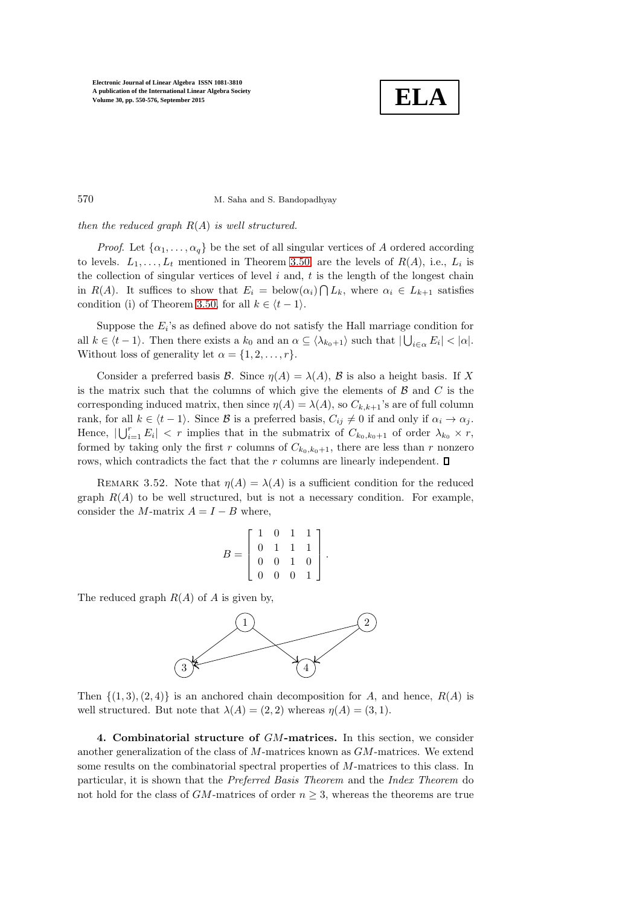

570 M. Saha and S. Bandopadhyay

*then the reduced graph* R(A) *is well structured.*

*Proof.* Let  $\{\alpha_1, \ldots, \alpha_q\}$  be the set of all singular vertices of A ordered according to levels.  $L_1, \ldots, L_t$  mentioned in Theorem [3.50,](#page-19-1) are the levels of  $R(A)$ , i.e.,  $L_i$  is the collection of singular vertices of level  $i$  and,  $t$  is the length of the longest chain in  $R(A)$ . It suffices to show that  $E_i = \text{below}(\alpha_i) \cap L_k$ , where  $\alpha_i \in L_{k+1}$  satisfies condition (i) of Theorem [3.50,](#page-19-1) for all  $k \in \langle t-1 \rangle$ .

Suppose the  $E_i$ 's as defined above do not satisfy the Hall marriage condition for all  $k \in \langle t - 1 \rangle$ . Then there exists a  $k_0$  and an  $\alpha \subseteq \langle \lambda_{k_0+1} \rangle$  such that  $|\bigcup_{i \in \alpha} E_i| < |\alpha|$ . Without loss of generality let  $\alpha = \{1, 2, \ldots, r\}.$ 

Consider a preferred basis B. Since  $\eta(A) = \lambda(A)$ , B is also a height basis. If X is the matrix such that the columns of which give the elements of  $\beta$  and  $C$  is the corresponding induced matrix, then since  $\eta(A) = \lambda(A)$ , so  $C_{k,k+1}$ 's are of full column rank, for all  $k \in \langle t - 1 \rangle$ . Since B is a preferred basis,  $C_{ij} \neq 0$  if and only if  $\alpha_i \to \alpha_j$ . Hence,  $|\bigcup_{i=1}^r E_i| < r$  implies that in the submatrix of  $C_{k_0,k_0+1}$  of order  $\lambda_{k_0} \times r$ , formed by taking only the first r columns of  $C_{k_0,k_0+1}$ , there are less than r nonzero rows, which contradicts the fact that the r columns are linearly independent.  $\square$ 

REMARK 3.52. Note that  $\eta(A) = \lambda(A)$  is a sufficient condition for the reduced graph  $R(A)$  to be well structured, but is not a necessary condition. For example, consider the M-matrix  $A = I - B$  where,

$$
B = \left[ \begin{array}{rrr} 1 & 0 & 1 & 1 \\ 0 & 1 & 1 & 1 \\ 0 & 0 & 1 & 0 \\ 0 & 0 & 0 & 1 \end{array} \right].
$$

The reduced graph  $R(A)$  of A is given by,



<span id="page-20-0"></span>Then  $\{(1,3), (2,4)\}\$ is an anchored chain decomposition for A, and hence,  $R(A)$  is well structured. But note that  $\lambda(A) = (2, 2)$  whereas  $\eta(A) = (3, 1)$ .

4. Combinatorial structure of GM-matrices. In this section, we consider another generalization of the class of M-matrices known as GM-matrices. We extend some results on the combinatorial spectral properties of M-matrices to this class. In particular, it is shown that the *Preferred Basis Theorem* and the *Index Theorem* do not hold for the class of  $GM$ -matrices of order  $n \geq 3$ , whereas the theorems are true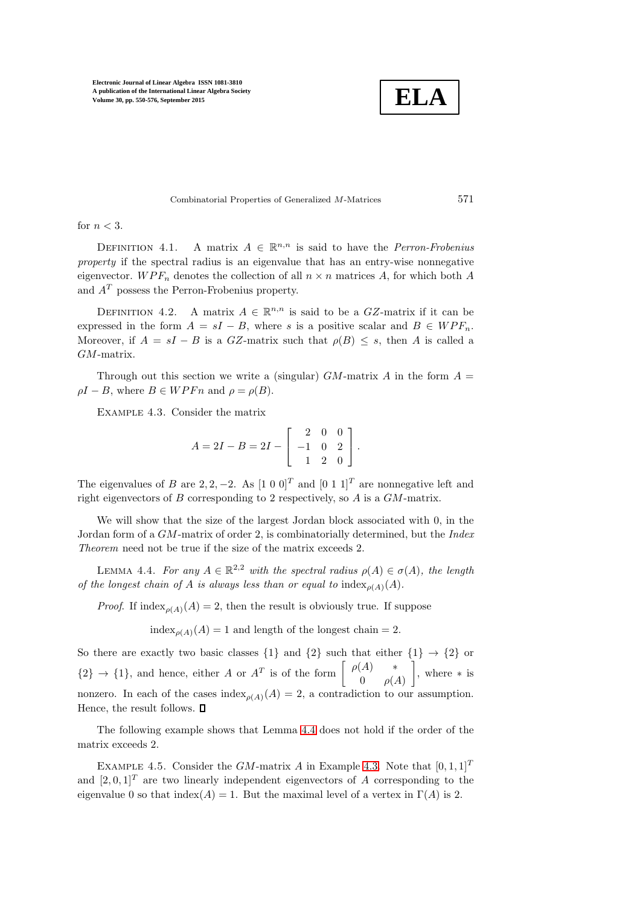

Combinatorial Properties of Generalized M-Matrices 571

for  $n < 3$ .

DEFINITION 4.1. A matrix  $A \in \mathbb{R}^{n,n}$  is said to have the *Perron-Frobenius property* if the spectral radius is an eigenvalue that has an entry-wise nonnegative eigenvector.  $WPF_n$  denotes the collection of all  $n \times n$  matrices A, for which both A and  $A<sup>T</sup>$  possess the Perron-Frobenius property.

DEFINITION 4.2. A matrix  $A \in \mathbb{R}^{n,n}$  is said to be a GZ-matrix if it can be expressed in the form  $A = sI - B$ , where s is a positive scalar and  $B \in WPF_n$ . Moreover, if  $A = sI - B$  is a GZ-matrix such that  $\rho(B) \leq s$ , then A is called a GM-matrix.

<span id="page-21-1"></span>Through out this section we write a (singular)  $GM$ -matrix A in the form  $A =$  $\rho I - B$ , where  $B \in WPFn$  and  $\rho = \rho(B)$ .

Example 4.3. Consider the matrix

 $A = 2I - B = 2I \lceil$  $\overline{1}$ 2 0 0 −1 0 2 1 2 0 1  $|\cdot$ 

The eigenvalues of B are 2, 2, -2. As  $[1\ 0\ 0]^T$  and  $[0\ 1\ 1]^T$  are nonnegative left and right eigenvectors of  $B$  corresponding to 2 respectively, so  $A$  is a  $GM$ -matrix.

We will show that the size of the largest Jordan block associated with 0, in the Jordan form of a GM-matrix of order 2, is combinatorially determined, but the *Index Theorem* need not be true if the size of the matrix exceeds 2.

<span id="page-21-0"></span>LEMMA 4.4. *For any*  $A \in \mathbb{R}^{2,2}$  *with the spectral radius*  $\rho(A) \in \sigma(A)$ *, the length of the longest chain of A is always less than or equal to*  $\text{index}_{p(A)}(A)$ *.* 

*Proof.* If index<sub> $o(A)$ </sub> (A) = 2, then the result is obviously true. If suppose

 $index_{\rho(A)}(A) = 1$  and length of the longest chain = 2.

So there are exactly two basic classes  $\{1\}$  and  $\{2\}$  such that either  $\{1\} \rightarrow \{2\}$  or  ${2} \rightarrow {1}$ , and hence, either A or  $A<sup>T</sup>$  is of the form  $\begin{bmatrix} \rho(A) & * \\ 0 & \rho(A) \end{bmatrix}$  $0 \rho(A)$  , where ∗ is nonzero. In each of the cases index<sub> $\rho(A)(A) = 2$ , a contradiction to our assumption.</sub> Hence, the result follows.  $\square$ 

The following example shows that Lemma [4.4](#page-21-0) does not hold if the order of the matrix exceeds 2.

EXAMPLE 4.5. Consider the GM-matrix A in Example [4.3.](#page-21-1) Note that  $[0, 1, 1]^T$ and  $[2, 0, 1]^T$  are two linearly independent eigenvectors of A corresponding to the eigenvalue 0 so that index(A) = 1. But the maximal level of a vertex in  $\Gamma(A)$  is 2.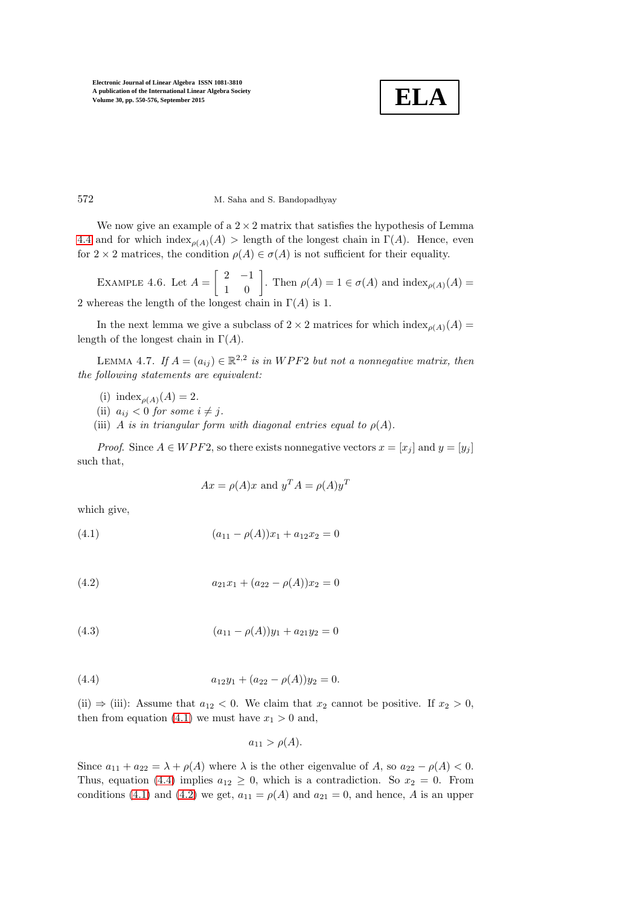

# 572 M. Saha and S. Bandopadhyay

We now give an example of a  $2 \times 2$  matrix that satisfies the hypothesis of Lemma [4.4](#page-21-0) and for which index<sub> $\rho(A)$ </sub> > length of the longest chain in Γ(A). Hence, even for  $2 \times 2$  matrices, the condition  $\rho(A) \in \sigma(A)$  is not sufficient for their equality.

EXAMPLE 4.6. Let  $A = \begin{bmatrix} 2 & -1 \\ 1 & 0 \end{bmatrix}$ . Then  $\rho(A) = 1 \in \sigma(A)$  and  $\text{index}_{\rho(A)}(A) =$ 2 whereas the length of the longest chain in  $\Gamma(A)$  is 1.

In the next lemma we give a subclass of  $2 \times 2$  matrices for which index<sub> $q(A)$ </sub>  $(A)$ length of the longest chain in  $\Gamma(A)$ .

LEMMA 4.7. If  $A = (a_{ij}) \in \mathbb{R}^{2,2}$  is in WPF2 but not a nonnegative matrix, then *the following statements are equivalent:*

- (i) index<sub> $\rho(A)(A) = 2$ .</sub>
- (ii)  $a_{ij} < 0$  for some  $i \neq j$ .
- (iii) A *is in triangular form with diagonal entries equal to*  $\rho(A)$ *.*

*Proof.* Since  $A \in WPF2$ , so there exists nonnegative vectors  $x = [x_j]$  and  $y = [y_j]$ such that,

<span id="page-22-3"></span>
$$
Ax = \rho(A)x
$$
 and  $y^T A = \rho(A)y^T$ 

<span id="page-22-0"></span>which give,

<span id="page-22-2"></span>(4.1) 
$$
(a_{11} - \rho(A))x_1 + a_{12}x_2 = 0
$$

(4.2) 
$$
a_{21}x_1 + (a_{22} - \rho(A))x_2 = 0
$$

<span id="page-22-1"></span>(4.3) 
$$
(a_{11} - \rho(A))y_1 + a_{21}y_2 = 0
$$

(4.4) 
$$
a_{12}y_1 + (a_{22} - \rho(A))y_2 = 0.
$$

(ii)  $\Rightarrow$  (iii): Assume that  $a_{12} < 0$ . We claim that  $x_2$  cannot be positive. If  $x_2 > 0$ , then from equation [\(4.1\)](#page-22-0) we must have  $x_1 > 0$  and,

$$
a_{11} > \rho(A).
$$

Since  $a_{11} + a_{22} = \lambda + \rho(A)$  where  $\lambda$  is the other eigenvalue of A, so  $a_{22} - \rho(A) < 0$ . Thus, equation [\(4.4\)](#page-22-1) implies  $a_{12} \geq 0$ , which is a contradiction. So  $x_2 = 0$ . From conditions [\(4.1\)](#page-22-0) and [\(4.2\)](#page-22-2) we get,  $a_{11} = \rho(A)$  and  $a_{21} = 0$ , and hence, A is an upper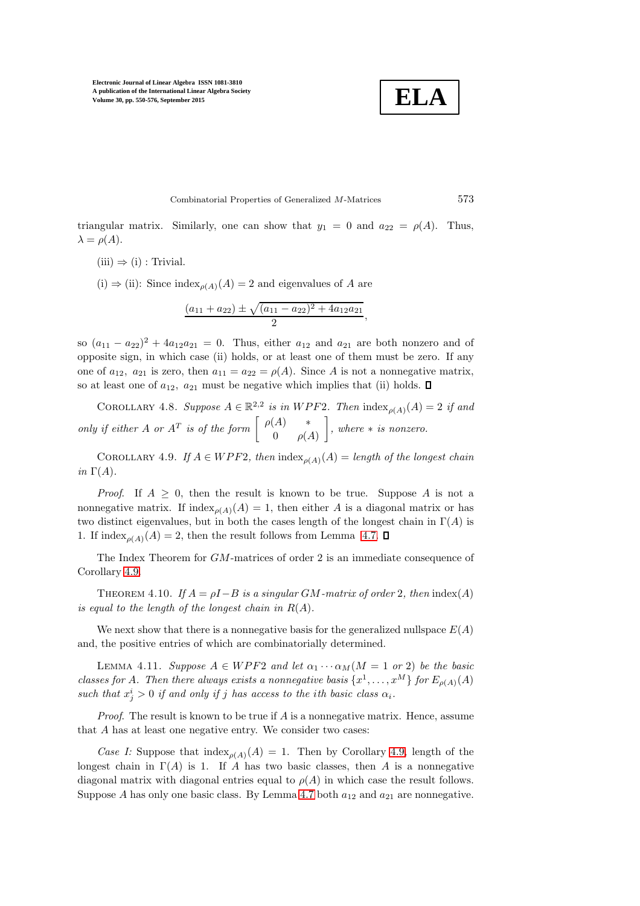$$
\boxed{\textbf{ELA}}
$$

Combinatorial Properties of Generalized M-Matrices 573

triangular matrix. Similarly, one can show that  $y_1 = 0$  and  $a_{22} = \rho(A)$ . Thus,  $\lambda = \rho(A).$ 

 $(iii) \Rightarrow (i)$ : Trivial.

(i)  $\Rightarrow$  (ii): Since index<sub> $\rho(A)(A) = 2$ </sub> and eigenvalues of A are

$$
\frac{(a_{11}+a_{22})\pm\sqrt{(a_{11}-a_{22})^2+4a_{12}a_{21}}}{2},
$$

so  $(a_{11} - a_{22})^2 + 4a_{12}a_{21} = 0$ . Thus, either  $a_{12}$  and  $a_{21}$  are both nonzero and of opposite sign, in which case (ii) holds, or at least one of them must be zero. If any one of  $a_{12}$ ,  $a_{21}$  is zero, then  $a_{11} = a_{22} = \rho(A)$ . Since A is not a nonnegative matrix, so at least one of  $a_{12}$ ,  $a_{21}$  must be negative which implies that (ii) holds.  $\Box$ 

COROLLARY 4.8. *Suppose*  $A \in \mathbb{R}^{2,2}$  *is in* WPF2. Then  $\text{index}_{\rho(A)}(A) = 2$  *if and only if either* A *or*  $A^T$  *is of the form*  $\begin{bmatrix} \rho(A) & * \\ 0 & \rho(A) \end{bmatrix}$  $0 \rho(A)$ *, where* ∗ *is nonzero.*

COROLLARY 4.9. *If*  $A \in WPF2$ *, then*  $\text{index}_{\rho(A)}(A) = \text{length of the longest chain}$ *in*  $\Gamma(A)$ *.* 

*Proof.* If  $A \geq 0$ , then the result is known to be true. Suppose A is not a nonnegative matrix. If  $\text{index}_{\rho(A)}(A) = 1$ , then either A is a diagonal matrix or has two distinct eigenvalues, but in both the cases length of the longest chain in  $\Gamma(A)$  is 1. If index<sub> $\rho(A)(A) = 2$ , then the result follows from Lemma [4.7.](#page-22-3)  $\square$ </sub>

<span id="page-23-2"></span>The Index Theorem for GM-matrices of order 2 is an immediate consequence of Corollary [4.9.](#page-23-0)

THEOREM 4.10. *If*  $A = \rho I - B$  *is a singular GM*-matrix of order 2*, then* index(A) *is equal to the length of the longest chain in*  $R(A)$ *.* 

We next show that there is a nonnegative basis for the generalized nullspace  $E(A)$ and, the positive entries of which are combinatorially determined.

<span id="page-23-1"></span>LEMMA 4.11. *Suppose*  $A \in WPF2$  *and let*  $\alpha_1 \cdots \alpha_M(M = 1 \text{ or } 2)$  *be the basic classes for A. Then there always exists a nonnegative basis*  $\{x^1, \ldots, x^M\}$  *for*  $E_{\rho(A)}(A)$  $such that x_j^i > 0$  *if and only if j has access to the ith basic class*  $\alpha_i$ .

*Proof.* The result is known to be true if A is a nonnegative matrix. Hence, assume that A has at least one negative entry. We consider two cases:

*Case I:* Suppose that  $\text{index}_{\rho(A)}(A) = 1$ . Then by Corollary [4.9,](#page-23-0) length of the longest chain in  $\Gamma(A)$  is 1. If A has two basic classes, then A is a nonnegative diagonal matrix with diagonal entries equal to  $\rho(A)$  in which case the result follows. Suppose A has only one basic class. By Lemma [4.7](#page-22-3) both  $a_{12}$  and  $a_{21}$  are nonnegative.

<span id="page-23-0"></span>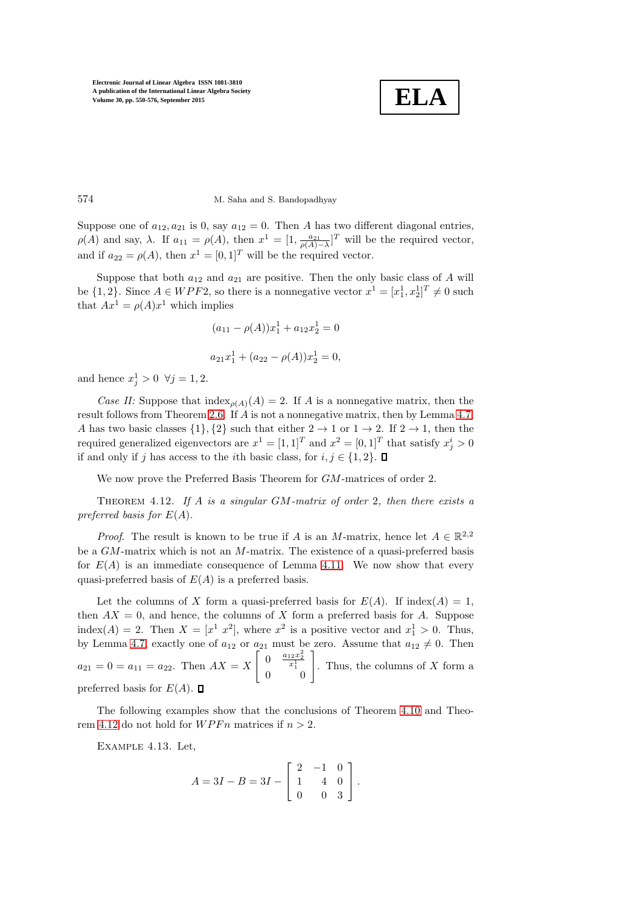

### 574 M. Saha and S. Bandopadhyay

Suppose one of  $a_{12}, a_{21}$  is 0, say  $a_{12} = 0$ . Then A has two different diagonal entries,  $\rho(A)$  and say,  $\lambda$ . If  $a_{11} = \rho(A)$ , then  $x^1 = [1, \frac{a_{21}}{\rho(A)-\lambda}]^T$  will be the required vector, and if  $a_{22} = \rho(A)$ , then  $x^1 = [0, 1]^T$  will be the required vector.

Suppose that both  $a_{12}$  and  $a_{21}$  are positive. Then the only basic class of A will be  $\{1,2\}$ . Since  $A \in WPF2$ , so there is a nonnegative vector  $x^1 = [x_1^1, x_2^1]^T \neq 0$  such that  $Ax^1 = \rho(A)x^1$  which implies

<span id="page-24-0"></span>
$$
(a_{11} - \rho(A))x_1^1 + a_{12}x_2^1 = 0
$$
  

$$
a_{21}x_1^1 + (a_{22} - \rho(A))x_2^1 = 0,
$$

and hence  $x_j^1 > 0 \ \forall j = 1, 2$ .

*Case II:* Suppose that  $\text{index}_{\rho(A)}(A) = 2$ . If A is a nonnegative matrix, then the result follows from Theorem [2.6.](#page-4-1) If A is not a nonnegative matrix, then by Lemma [4.7,](#page-22-3) A has two basic classes  $\{1\}, \{2\}$  such that either  $2 \rightarrow 1$  or  $1 \rightarrow 2$ . If  $2 \rightarrow 1$ , then the required generalized eigenvectors are  $x^1 = [1, 1]^T$  and  $x^2 = [0, 1]^T$  that satisfy  $x_j^i > 0$ if and only if j has access to the *i*th basic class, for  $i, j \in \{1, 2\}$ .

We now prove the Preferred Basis Theorem for  $GM$ -matrices of order 2.

Theorem 4.12. *If* A *is a singular* GM*-matrix of order* 2*, then there exists a preferred basis for* E(A)*.*

*Proof.* The result is known to be true if A is an M-matrix, hence let  $A \in \mathbb{R}^{2,2}$ be a  $GM$ -matrix which is not an  $M$ -matrix. The existence of a quasi-preferred basis for  $E(A)$  is an immediate consequence of Lemma [4.11.](#page-23-1) We now show that every quasi-preferred basis of  $E(A)$  is a preferred basis.

Let the columns of X form a quasi-preferred basis for  $E(A)$ . If index(A) = 1, then  $AX = 0$ , and hence, the columns of X form a preferred basis for A. Suppose index(A) = 2. Then  $X = [x^1 \ x^2]$ , where  $x^2$  is a positive vector and  $x_1^1 > 0$ . Thus, by Lemma [4.7,](#page-22-3) exactly one of  $a_{12}$  or  $a_{21}$  must be zero. Assume that  $a_{12} \neq 0$ . Then  $a_{21} = 0 = a_{11} = a_{22}$ . Then  $AX = X$  $\left[ \begin{array}{cc} 0 & \frac{a_{12}x_2^2}{x_1^1} \end{array} \right]$  $\begin{bmatrix} 0 & \frac{a_{12}x_2^2}{x_1^1} \\ 0 & 0 \end{bmatrix}$ . Thus, the columns of X form a preferred basis for  $E(A)$ .  $\square$ 

The following examples show that the conclusions of Theorem [4.10](#page-23-2) and Theo-rem [4.12](#page-24-0) do not hold for  $WPFn$  matrices if  $n > 2$ .

Example 4.13. Let,

<span id="page-24-1"></span>
$$
A = 3I - B = 3I - \begin{bmatrix} 2 & -1 & 0 \\ 1 & 4 & 0 \\ 0 & 0 & 3 \end{bmatrix}.
$$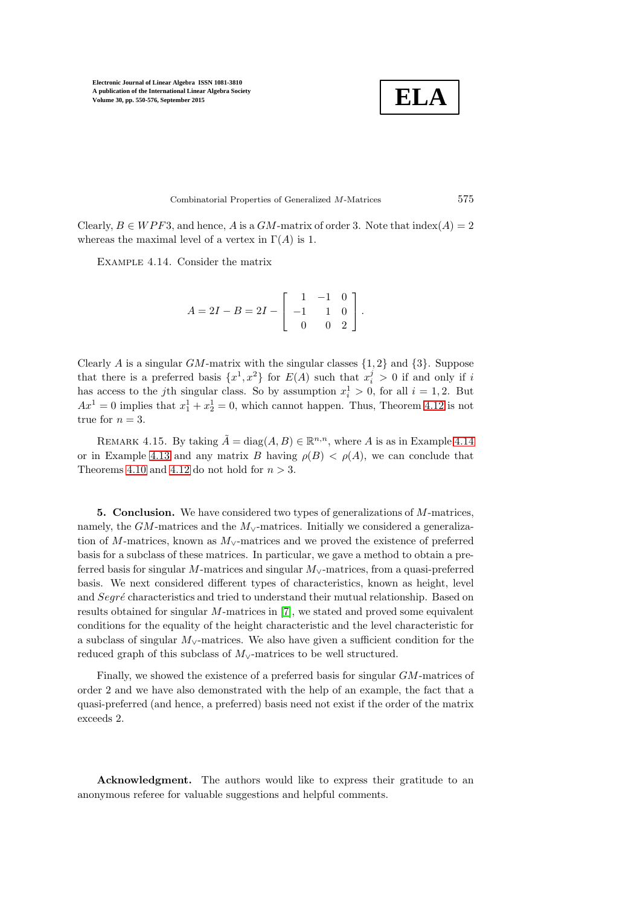$$
\boxed{\textbf{ELA}}
$$

Combinatorial Properties of Generalized M-Matrices 575

Clearly,  $B \in WPF3$ , and hence, A is a GM-matrix of order 3. Note that  $\text{index}(A) = 2$ whereas the maximal level of a vertex in  $\Gamma(A)$  is 1.

Example 4.14. Consider the matrix

$$
A = 2I - B = 2I - \begin{bmatrix} 1 & -1 & 0 \\ -1 & 1 & 0 \\ 0 & 0 & 2 \end{bmatrix}.
$$

Clearly A is a singular  $GM$ -matrix with the singular classes  $\{1, 2\}$  and  $\{3\}$ . Suppose that there is a preferred basis  $\{x^1, x^2\}$  for  $E(A)$  such that  $x_i^j > 0$  if and only if i has access to the *j*th singular class. So by assumption  $x_i^1 > 0$ , for all  $i = 1, 2$ . But  $Ax^1 = 0$  implies that  $x_1^1 + x_2^1 = 0$ , which cannot happen. Thus, Theorem [4.12](#page-24-0) is not true for  $n = 3$ .

REMARK 4.15. By taking  $\tilde{A} = \text{diag}(A, B) \in \mathbb{R}^{n,n}$ , where A is as in Example [4.14](#page-25-0) or in Example [4.13](#page-24-1) and any matrix B having  $\rho(B) < \rho(A)$ , we can conclude that Theorems [4.10](#page-23-2) and [4.12](#page-24-0) do not hold for  $n > 3$ .

**5. Conclusion.** We have considered two types of generalizations of  $M$ -matrices, namely, the  $GM$ -matrices and the  $M_{\vee}$ -matrices. Initially we considered a generalization of M-matrices, known as  $M_{\vee}$ -matrices and we proved the existence of preferred basis for a subclass of these matrices. In particular, we gave a method to obtain a preferred basis for singular M-matrices and singular  $M_{\vee}$ -matrices, from a quasi-preferred basis. We next considered different types of characteristics, known as height, level and  $Segr\acute{e}$  characteristics and tried to understand their mutual relationship. Based on results obtained for singular M-matrices in [\[7\]](#page-26-6), we stated and proved some equivalent conditions for the equality of the height characteristic and the level characteristic for a subclass of singular M∨-matrices. We also have given a sufficient condition for the reduced graph of this subclass of  $M<sub>∨</sub>$ -matrices to be well structured.

Finally, we showed the existence of a preferred basis for singular GM-matrices of order 2 and we have also demonstrated with the help of an example, the fact that a quasi-preferred (and hence, a preferred) basis need not exist if the order of the matrix exceeds 2.

Acknowledgment. The authors would like to express their gratitude to an anonymous referee for valuable suggestions and helpful comments.

<span id="page-25-0"></span>